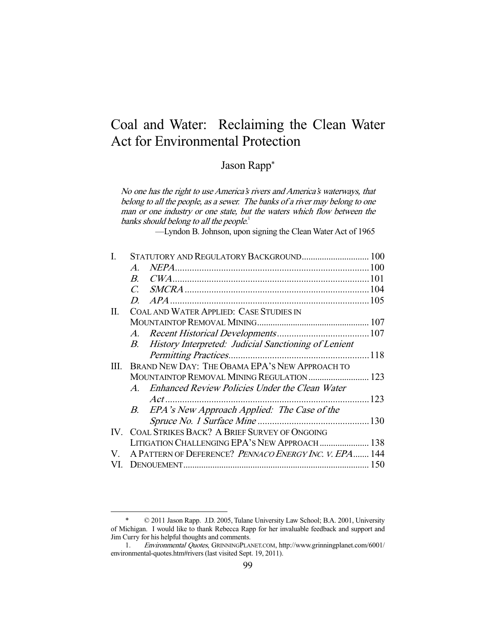# Coal and Water: Reclaiming the Clean Water Act for Environmental Protection

# Jason Rapp\*

No one has the right to use America's rivers and America's waterways, that belong to all the people, as a sewer. The banks of a river may belong to one man or one industry or one state, but the waters which flow between the banks should belong to all the people.<sup>1</sup>

—Lyndon B. Johnson, upon signing the Clean Water Act of 1965

| L.  | STATUTORY AND REGULATORY BACKGROUND 100          |                                                           |  |
|-----|--------------------------------------------------|-----------------------------------------------------------|--|
|     | $\mathcal{A}_{\cdot}$                            |                                                           |  |
|     | $B_{\cdot}$                                      |                                                           |  |
|     | C                                                |                                                           |  |
|     | D                                                |                                                           |  |
| П.  | <b>COAL AND WATER APPLIED: CASE STUDIES IN</b>   |                                                           |  |
|     |                                                  |                                                           |  |
|     |                                                  |                                                           |  |
|     |                                                  | B. History Interpreted: Judicial Sanctioning of Lenient   |  |
|     |                                                  |                                                           |  |
| Ш.  | BRAND NEW DAY: THE OBAMA EPA'S NEW APPROACH TO   |                                                           |  |
|     | MOUNTAINTOP REMOVAL MINING REGULATION  123       |                                                           |  |
|     |                                                  | A. Enhanced Review Policies Under the Clean Water         |  |
|     |                                                  |                                                           |  |
|     |                                                  | B. EPA's New Approach Applied: The Case of the            |  |
|     |                                                  |                                                           |  |
|     | IV. COAL STRIKES BACK? A BRIEF SURVEY OF ONGOING |                                                           |  |
|     | LITIGATION CHALLENGING EPA'S NEW APPROACH  138   |                                                           |  |
|     |                                                  | V. A PATTERN OF DEFERENCE? PENNACO ENERGY INC. V. EPA 144 |  |
| VI. |                                                  |                                                           |  |
|     |                                                  |                                                           |  |

 <sup>\* © 2011</sup> Jason Rapp. J.D. 2005, Tulane University Law School; B.A. 2001, University of Michigan. I would like to thank Rebecca Rapp for her invaluable feedback and support and Jim Curry for his helpful thoughts and comments.

 <sup>1.</sup> Environmental Quotes, GRINNINGPLANET.COM, http://www.grinningplanet.com/6001/ environmental-quotes.htm#rivers (last visited Sept. 19, 2011).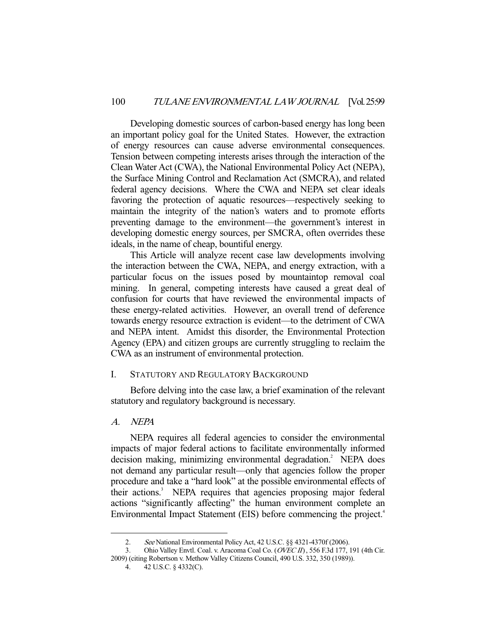Developing domestic sources of carbon-based energy has long been an important policy goal for the United States. However, the extraction of energy resources can cause adverse environmental consequences. Tension between competing interests arises through the interaction of the Clean Water Act (CWA), the National Environmental Policy Act (NEPA), the Surface Mining Control and Reclamation Act (SMCRA), and related federal agency decisions. Where the CWA and NEPA set clear ideals favoring the protection of aquatic resources—respectively seeking to maintain the integrity of the nation's waters and to promote efforts preventing damage to the environment—the government's interest in developing domestic energy sources, per SMCRA, often overrides these ideals, in the name of cheap, bountiful energy.

 This Article will analyze recent case law developments involving the interaction between the CWA, NEPA, and energy extraction, with a particular focus on the issues posed by mountaintop removal coal mining. In general, competing interests have caused a great deal of confusion for courts that have reviewed the environmental impacts of these energy-related activities. However, an overall trend of deference towards energy resource extraction is evident—to the detriment of CWA and NEPA intent. Amidst this disorder, the Environmental Protection Agency (EPA) and citizen groups are currently struggling to reclaim the CWA as an instrument of environmental protection.

## I. STATUTORY AND REGULATORY BACKGROUND

 Before delving into the case law, a brief examination of the relevant statutory and regulatory background is necessary.

#### A. NEPA

-

 NEPA requires all federal agencies to consider the environmental impacts of major federal actions to facilitate environmentally informed decision making, minimizing environmental degradation.<sup>2</sup> NEPA does not demand any particular result—only that agencies follow the proper procedure and take a "hard look" at the possible environmental effects of their actions.<sup>3</sup> NEPA requires that agencies proposing major federal actions "significantly affecting" the human environment complete an Environmental Impact Statement (EIS) before commencing the project.<sup>4</sup>

<sup>2.</sup> See National Environmental Policy Act, 42 U.S.C. §§ 4321-4370f (2006).

<sup>3.</sup> Ohio Valley Envtl. Coal. v. Aracoma Coal Co. (OVEC II), 556 F.3d 177, 191 (4th Cir. 2009) (citing Robertson v. Methow Valley Citizens Council, 490 U.S. 332, 350 (1989)).

 <sup>4. 42</sup> U.S.C. § 4332(C).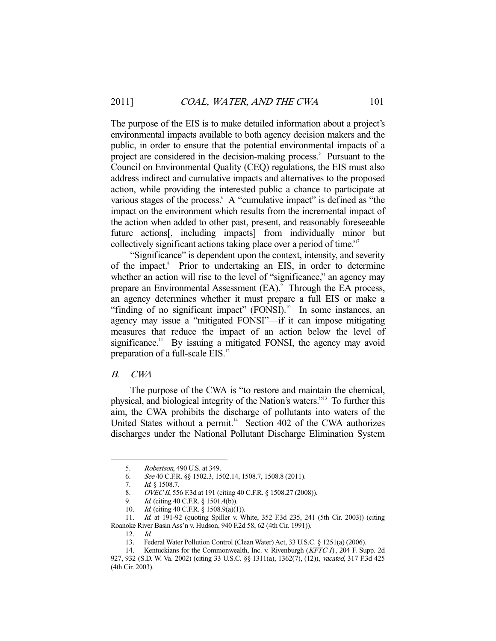The purpose of the EIS is to make detailed information about a project's environmental impacts available to both agency decision makers and the public, in order to ensure that the potential environmental impacts of a project are considered in the decision-making process.<sup>5</sup> Pursuant to the Council on Environmental Quality (CEQ) regulations, the EIS must also address indirect and cumulative impacts and alternatives to the proposed action, while providing the interested public a chance to participate at various stages of the process. A "cumulative impact" is defined as "the impact on the environment which results from the incremental impact of the action when added to other past, present, and reasonably foreseeable future actions[, including impacts] from individually minor but collectively significant actions taking place over a period of time."7

 "Significance" is dependent upon the context, intensity, and severity of the impact.<sup>8</sup> Prior to undertaking an EIS, in order to determine whether an action will rise to the level of "significance," an agency may prepare an Environmental Assessment (EA).<sup>9</sup> Through the EA process, an agency determines whether it must prepare a full EIS or make a "finding of no significant impact" (FONSI).<sup>10</sup> In some instances, an agency may issue a "mitigated FONSI"—if it can impose mitigating measures that reduce the impact of an action below the level of significance.<sup>11</sup> By issuing a mitigated FONSI, the agency may avoid preparation of a full-scale EIS.<sup>12</sup>

## B. CWA

-

 The purpose of the CWA is "to restore and maintain the chemical, physical, and biological integrity of the Nation's waters."13 To further this aim, the CWA prohibits the discharge of pollutants into waters of the United States without a permit.<sup>14</sup> Section 402 of the CWA authorizes discharges under the National Pollutant Discharge Elimination System

 <sup>5.</sup> Robertson, 490 U.S. at 349.

 <sup>6.</sup> See 40 C.F.R. §§ 1502.3, 1502.14, 1508.7, 1508.8 (2011).

<sup>7.</sup> *Id.* § 1508.7.

<sup>8.</sup> *OVEC II*, 556 F.3d at 191 (citing 40 C.F.R. § 1508.27 (2008)).

<sup>9.</sup> *Id.* (citing 40 C.F.R. § 1501.4(b)).

<sup>10.</sup> *Id.* (citing 40 C.F.R. § 1508.9(a)(1)).

 <sup>11.</sup> Id. at 191-92 (quoting Spiller v. White, 352 F.3d 235, 241 (5th Cir. 2003)) (citing Roanoke River Basin Ass'n v. Hudson, 940 F.2d 58, 62 (4th Cir. 1991)).

 <sup>12.</sup> Id.

 <sup>13.</sup> Federal Water Pollution Control (Clean Water) Act, 33 U.S.C. § 1251(a) (2006).

<sup>14.</sup> Kentuckians for the Commonwealth, Inc. v. Rivenburgh (KFTC I), 204 F. Supp. 2d 927, 932 (S.D. W. Va. 2002) (citing 33 U.S.C. §§ 1311(a), 1362(7), (12)), vacated, 317 F.3d 425 (4th Cir. 2003).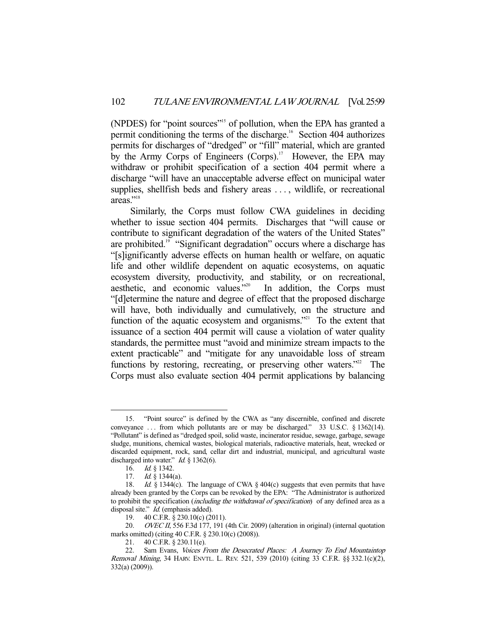(NPDES) for "point sources"<sup>15</sup> of pollution, when the EPA has granted a permit conditioning the terms of the discharge.<sup>16</sup> Section 404 authorizes permits for discharges of "dredged" or "fill" material, which are granted by the Army Corps of Engineers  $(Corps)$ .<sup>17</sup> However, the EPA may withdraw or prohibit specification of a section 404 permit where a discharge "will have an unacceptable adverse effect on municipal water supplies, shellfish beds and fishery areas ..., wildlife, or recreational areas."<sup>18</sup>

 Similarly, the Corps must follow CWA guidelines in deciding whether to issue section 404 permits. Discharges that "will cause or contribute to significant degradation of the waters of the United States" are prohibited.<sup>19</sup> "Significant degradation" occurs where a discharge has "[s]ignificantly adverse effects on human health or welfare, on aquatic life and other wildlife dependent on aquatic ecosystems, on aquatic ecosystem diversity, productivity, and stability, or on recreational, aesthetic, and economic values."<sup>20</sup> In addition, the Corps must "[d]etermine the nature and degree of effect that the proposed discharge will have, both individually and cumulatively, on the structure and function of the aquatic ecosystem and organisms."<sup>21</sup> To the extent that issuance of a section 404 permit will cause a violation of water quality standards, the permittee must "avoid and minimize stream impacts to the extent practicable" and "mitigate for any unavoidable loss of stream functions by restoring, recreating, or preserving other waters.<sup> $22$ </sup> The Corps must also evaluate section 404 permit applications by balancing

 <sup>15. &</sup>quot;Point source" is defined by the CWA as "any discernible, confined and discrete conveyance . . . from which pollutants are or may be discharged." 33 U.S.C. § 1362(14). "Pollutant" is defined as "dredged spoil, solid waste, incinerator residue, sewage, garbage, sewage sludge, munitions, chemical wastes, biological materials, radioactive materials, heat, wrecked or discarded equipment, rock, sand, cellar dirt and industrial, municipal, and agricultural waste discharged into water."  $Id. \S$  1362(6).

 <sup>16.</sup> Id. § 1342.

<sup>17.</sup> *Id.* § 1344(a).

<sup>18.</sup> *Id.* § 1344(c). The language of CWA § 404(c) suggests that even permits that have already been granted by the Corps can be revoked by the EPA: "The Administrator is authorized to prohibit the specification (*including the withdrawal of specification*) of any defined area as a disposal site." *Id.* (emphasis added).

 <sup>19. 40</sup> C.F.R. § 230.10(c) (2011).

<sup>20.</sup> OVEC II, 556 F.3d 177, 191 (4th Cir. 2009) (alteration in original) (internal quotation marks omitted) (citing 40 C.F.R. § 230.10(c) (2008)).

<sup>21. 40</sup> C.F.R. § 230.11(e).<br>22. Sam Evans. *Voices B* 

Sam Evans, *Voices From the Desecrated Places: A Journey To End Mountaintop* Removal Mining, 34 HARV. ENVTL. L. REV. 521, 539 (2010) (citing 33 C.F.R. §§ 332.1(c)(2), 332(a) (2009)).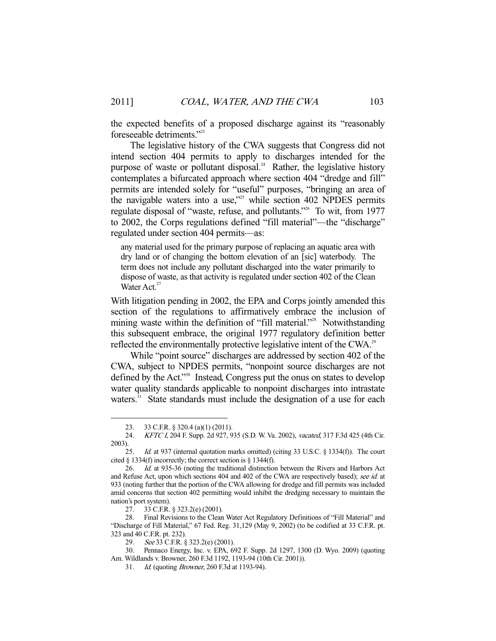the expected benefits of a proposed discharge against its "reasonably foreseeable detriments."23

 The legislative history of the CWA suggests that Congress did not intend section 404 permits to apply to discharges intended for the purpose of waste or pollutant disposal.<sup>24</sup> Rather, the legislative history contemplates a bifurcated approach where section 404 "dredge and fill" permits are intended solely for "useful" purposes, "bringing an area of the navigable waters into a use,"<sup>25</sup> while section 402 NPDES permits regulate disposal of "waste, refuse, and pollutants."26 To wit, from 1977 to 2002, the Corps regulations defined "fill material"—the "discharge" regulated under section 404 permits—as:

any material used for the primary purpose of replacing an aquatic area with dry land or of changing the bottom elevation of an [sic] waterbody. The term does not include any pollutant discharged into the water primarily to dispose of waste, as that activity is regulated under section 402 of the Clean Water Act.<sup>27</sup>

With litigation pending in 2002, the EPA and Corps jointly amended this section of the regulations to affirmatively embrace the inclusion of mining waste within the definition of "fill material."<sup>28</sup> Notwithstanding this subsequent embrace, the original 1977 regulatory definition better reflected the environmentally protective legislative intent of the CWA.<sup>29</sup>

While "point source" discharges are addressed by section 402 of the CWA, subject to NPDES permits, "nonpoint source discharges are not defined by the Act."<sup>30</sup> Instead, Congress put the onus on states to develop water quality standards applicable to nonpoint discharges into intrastate waters.<sup>31</sup> State standards must include the designation of a use for each

 <sup>23. 33</sup> C.F.R. § 320.4 (a)(1) (2011).

<sup>24.</sup> KFTC I, 204 F. Supp. 2d 927, 935 (S.D. W. Va. 2002), vacated, 317 F.3d 425 (4th Cir. 2003).

<sup>25.</sup> Id. at 937 (internal quotation marks omitted) (citing 33 U.S.C. § 1334(f)). The court cited § 1334(f) incorrectly; the correct section is § 1344(f).

<sup>26.</sup> Id. at 935-36 (noting the traditional distinction between the Rivers and Harbors Act and Refuse Act, upon which sections 404 and 402 of the CWA are respectively based); see id. at 933 (noting further that the portion of the CWA allowing for dredge and fill permits was included amid concerns that section 402 permitting would inhibit the dredging necessary to maintain the nation's port system).

 <sup>27. 33</sup> C.F.R. § 323.2(e) (2001).

 <sup>28.</sup> Final Revisions to the Clean Water Act Regulatory Definitions of "Fill Material" and "Discharge of Fill Material," 67 Fed. Reg. 31,129 (May 9, 2002) (to be codified at 33 C.F.R. pt. 323 and 40 C.F.R. pt. 232).

<sup>29.</sup> See 33 C.F.R. § 323.2(e) (2001).<br>30. Pennaco Energy, Inc. v. F.PA. 6 30. Pennaco Energy, Inc. v. EPA, 692 F. Supp. 2d 1297, 1300 (D. Wyo. 2009) (quoting Am. Wildlands v. Browner, 260 F.3d 1192, 1193-94 (10th Cir. 2001)).

 <sup>31.</sup> Id. (quoting Browner, 260 F.3d at 1193-94).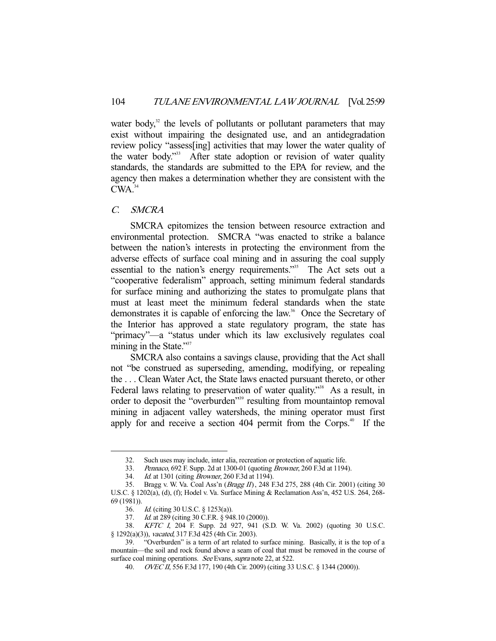water body, $32$  the levels of pollutants or pollutant parameters that may exist without impairing the designated use, and an antidegradation review policy "assess[ing] activities that may lower the water quality of the water body."<sup>33</sup> After state adoption or revision of water quality standards, the standards are submitted to the EPA for review, and the agency then makes a determination whether they are consistent with the  $CWA.<sup>34</sup>$ 

#### C. SMCRA

-

 SMCRA epitomizes the tension between resource extraction and environmental protection. SMCRA "was enacted to strike a balance between the nation's interests in protecting the environment from the adverse effects of surface coal mining and in assuring the coal supply essential to the nation's energy requirements."<sup>35</sup> The Act sets out a "cooperative federalism" approach, setting minimum federal standards for surface mining and authorizing the states to promulgate plans that must at least meet the minimum federal standards when the state demonstrates it is capable of enforcing the law.<sup>36</sup> Once the Secretary of the Interior has approved a state regulatory program, the state has "primacy"—a "status under which its law exclusively regulates coal mining in the State."<sup>37</sup>

 SMCRA also contains a savings clause, providing that the Act shall not "be construed as superseding, amending, modifying, or repealing the . . . Clean Water Act, the State laws enacted pursuant thereto, or other Federal laws relating to preservation of water quality."<sup>38</sup> As a result, in order to deposit the "overburden"<sup>39</sup> resulting from mountaintop removal mining in adjacent valley watersheds, the mining operator must first apply for and receive a section  $404$  permit from the Corps.<sup>40</sup> If the

 <sup>32.</sup> Such uses may include, inter alia, recreation or protection of aquatic life.

<sup>33.</sup> Pennaco, 692 F. Supp. 2d at 1300-01 (quoting Browner, 260 F.3d at 1194).

 <sup>34.</sup> Id. at 1301 (citing Browner, 260 F.3d at 1194).

 <sup>35.</sup> Bragg v. W. Va. Coal Ass'n (Bragg II), 248 F.3d 275, 288 (4th Cir. 2001) (citing 30 U.S.C. § 1202(a), (d), (f); Hodel v. Va. Surface Mining & Reclamation Ass'n, 452 U.S. 264, 268- 69 (1981)).

 <sup>36.</sup> Id. (citing 30 U.S.C. § 1253(a)).

 <sup>37.</sup> Id. at 289 (citing 30 C.F.R. § 948.10 (2000)).

 <sup>38.</sup> KFTC I, 204 F. Supp. 2d 927, 941 (S.D. W. Va. 2002) (quoting 30 U.S.C. § 1292(a)(3)), vacated, 317 F.3d 425 (4th Cir. 2003).

 <sup>39. &</sup>quot;Overburden" is a term of art related to surface mining. Basically, it is the top of a mountain—the soil and rock found above a seam of coal that must be removed in the course of surface coal mining operations. See Evans, supra note 22, at 522.

 <sup>40.</sup> OVEC II, 556 F.3d 177, 190 (4th Cir. 2009) (citing 33 U.S.C. § 1344 (2000)).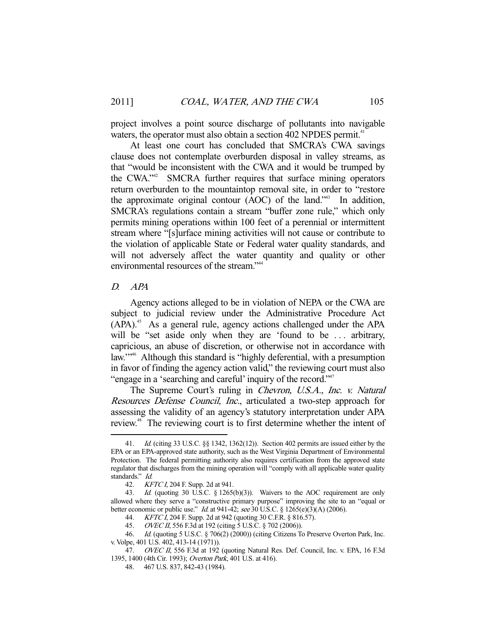project involves a point source discharge of pollutants into navigable waters, the operator must also obtain a section 402 NPDES permit.<sup>41</sup>

 At least one court has concluded that SMCRA's CWA savings clause does not contemplate overburden disposal in valley streams, as that "would be inconsistent with the CWA and it would be trumped by the CWA."<sup>42</sup> SMCRA further requires that surface mining operators return overburden to the mountaintop removal site, in order to "restore the approximate original contour (AOC) of the land.<sup>343</sup> In addition, SMCRA's regulations contain a stream "buffer zone rule," which only permits mining operations within 100 feet of a perennial or intermittent stream where "[s]urface mining activities will not cause or contribute to the violation of applicable State or Federal water quality standards, and will not adversely affect the water quantity and quality or other environmental resources of the stream."44

#### D. APA

-

 Agency actions alleged to be in violation of NEPA or the CWA are subject to judicial review under the Administrative Procedure Act (APA).45 As a general rule, agency actions challenged under the APA will be "set aside only when they are 'found to be ... arbitrary, capricious, an abuse of discretion, or otherwise not in accordance with law."<sup>346</sup> Although this standard is "highly deferential, with a presumption in favor of finding the agency action valid," the reviewing court must also "engage in a 'searching and careful' inquiry of the record."47

The Supreme Court's ruling in *Chevron, U.S.A., Inc. v. Natural* Resources Defense Council, Inc., articulated a two-step approach for assessing the validity of an agency's statutory interpretation under APA review.<sup>48</sup> The reviewing court is to first determine whether the intent of

<sup>41.</sup> *Id.* (citing 33 U.S.C. §§ 1342, 1362(12)). Section 402 permits are issued either by the EPA or an EPA-approved state authority, such as the West Virginia Department of Environmental Protection. The federal permitting authority also requires certification from the approved state regulator that discharges from the mining operation will "comply with all applicable water quality standards." Id.

<sup>42.</sup> KFTC I, 204 F. Supp. 2d at 941.

 <sup>43.</sup> Id. (quoting 30 U.S.C. § 1265(b)(3)). Waivers to the AOC requirement are only allowed where they serve a "constructive primary purpose" improving the site to an "equal or better economic or public use." *Id.* at 941-42; see 30 U.S.C. § 1265(e)(3)(A) (2006).

 <sup>44.</sup> KFTC I, 204 F. Supp. 2d at 942 (quoting 30 C.F.R. § 816.57).

<sup>45.</sup> *OVEC II*, 556 F.3d at 192 (citing 5 U.S.C. § 702 (2006)).

 <sup>46.</sup> Id. (quoting 5 U.S.C. § 706(2) (2000)) (citing Citizens To Preserve Overton Park, Inc. v. Volpe, 401 U.S. 402, 413-14 (1971)).

<sup>47.</sup> OVEC II, 556 F.3d at 192 (quoting Natural Res. Def. Council, Inc. v. EPA, 16 F.3d 1395, 1400 (4th Cir. 1993); Overton Park, 401 U.S. at 416).

 <sup>48. 467</sup> U.S. 837, 842-43 (1984).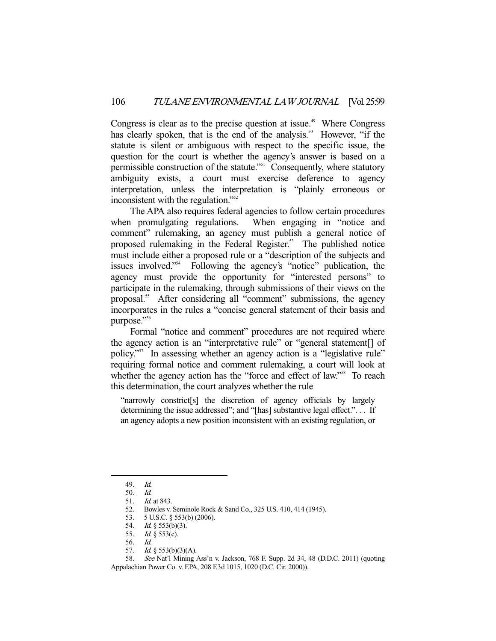Congress is clear as to the precise question at issue.<sup>49</sup> Where Congress has clearly spoken, that is the end of the analysis.<sup>50</sup> However, "if the statute is silent or ambiguous with respect to the specific issue, the question for the court is whether the agency's answer is based on a permissible construction of the statute."<sup>51</sup> Consequently, where statutory ambiguity exists, a court must exercise deference to agency interpretation, unless the interpretation is "plainly erroneous or inconsistent with the regulation."<sup>52</sup>

 The APA also requires federal agencies to follow certain procedures when promulgating regulations. When engaging in "notice and comment" rulemaking, an agency must publish a general notice of proposed rulemaking in the Federal Register.<sup>53</sup> The published notice must include either a proposed rule or a "description of the subjects and issues involved."54 Following the agency's "notice" publication, the agency must provide the opportunity for "interested persons" to participate in the rulemaking, through submissions of their views on the proposal.55 After considering all "comment" submissions, the agency incorporates in the rules a "concise general statement of their basis and purpose."<sup>56</sup>

 Formal "notice and comment" procedures are not required where the agency action is an "interpretative rule" or "general statement[] of policy."57 In assessing whether an agency action is a "legislative rule" requiring formal notice and comment rulemaking, a court will look at whether the agency action has the "force and effect of law."<sup>58</sup> To reach this determination, the court analyzes whether the rule

"narrowly constrict[s] the discretion of agency officials by largely determining the issue addressed"; and "[has] substantive legal effect."... If an agency adopts a new position inconsistent with an existing regulation, or

 <sup>49.</sup> Id.

 <sup>50.</sup> Id.

 <sup>51.</sup> Id. at 843.

 <sup>52.</sup> Bowles v. Seminole Rock & Sand Co., 325 U.S. 410, 414 (1945).

 <sup>53. 5</sup> U.S.C. § 553(b) (2006).

<sup>54.</sup> *Id.* § 553(b)(3).

<sup>55.</sup> *Id.*  $\S$  553(c).

 <sup>56.</sup> Id.

 <sup>57.</sup> Id. § 553(b)(3)(A).

 <sup>58.</sup> See Nat'l Mining Ass'n v. Jackson, 768 F. Supp. 2d 34, 48 (D.D.C. 2011) (quoting Appalachian Power Co. v. EPA, 208 F.3d 1015, 1020 (D.C. Cir. 2000)).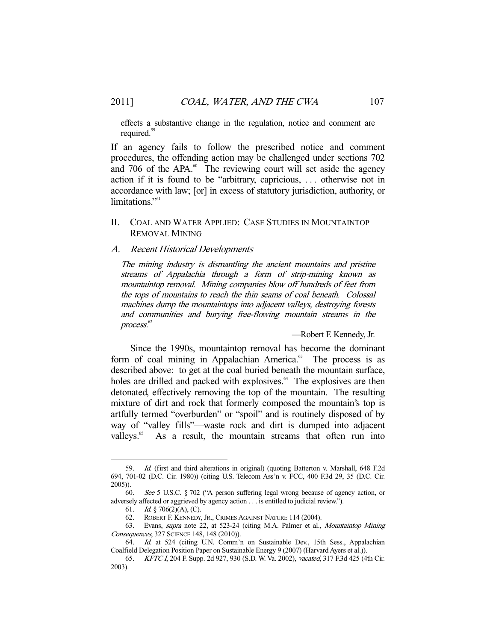effects a substantive change in the regulation, notice and comment are required.<sup>59</sup>

If an agency fails to follow the prescribed notice and comment procedures, the offending action may be challenged under sections 702 and 706 of the APA. $\degree$  The reviewing court will set aside the agency action if it is found to be "arbitrary, capricious, . . . otherwise not in accordance with law; [or] in excess of statutory jurisdiction, authority, or limitations."<sup>61</sup>

# II. COAL AND WATER APPLIED: CASE STUDIES IN MOUNTAINTOP REMOVAL MINING

#### A. Recent Historical Developments

The mining industry is dismantling the ancient mountains and pristine streams of Appalachia through a form of strip-mining known as mountaintop removal. Mining companies blow off hundreds of feet from the tops of mountains to reach the thin seams of coal beneath. Colossal machines dump the mountaintops into adjacent valleys, destroying forests and communities and burying free-flowing mountain streams in the  $process<sup>62</sup>$ 

—Robert F. Kennedy, Jr.

 Since the 1990s, mountaintop removal has become the dominant form of coal mining in Appalachian America.<sup>63</sup> The process is as described above: to get at the coal buried beneath the mountain surface, holes are drilled and packed with explosives.<sup>64</sup> The explosives are then detonated, effectively removing the top of the mountain. The resulting mixture of dirt and rock that formerly composed the mountain's top is artfully termed "overburden" or "spoil" and is routinely disposed of by way of "valley fills"—waste rock and dirt is dumped into adjacent valleys.<sup>65</sup> As a result, the mountain streams that often run into

 <sup>59.</sup> Id. (first and third alterations in original) (quoting Batterton v. Marshall, 648 F.2d 694, 701-02 (D.C. Cir. 1980)) (citing U.S. Telecom Ass'n v. FCC, 400 F.3d 29, 35 (D.C. Cir. 2005)).

 <sup>60.</sup> See 5 U.S.C. § 702 ("A person suffering legal wrong because of agency action, or adversely affected or aggrieved by agency action . . . is entitled to judicial review.").

<sup>61.</sup> *Id.* § 706(2)(A), (C).

<sup>62.</sup> ROBERT F. KENNEDY, JR., CRIMES AGAINST NATURE 114 (2004).

 <sup>63.</sup> Evans, supra note 22, at 523-24 (citing M.A. Palmer et al., Mountaintop Mining Consequences, 327 SCIENCE 148, 148 (2010)).

<sup>64.</sup> Id. at 524 (citing U.N. Comm'n on Sustainable Dev., 15th Sess., Appalachian Coalfield Delegation Position Paper on Sustainable Energy 9 (2007) (Harvard Ayers et al.)).

 <sup>65.</sup> KFTC I, 204 F. Supp. 2d 927, 930 (S.D. W. Va. 2002), vacated, 317 F.3d 425 (4th Cir. 2003).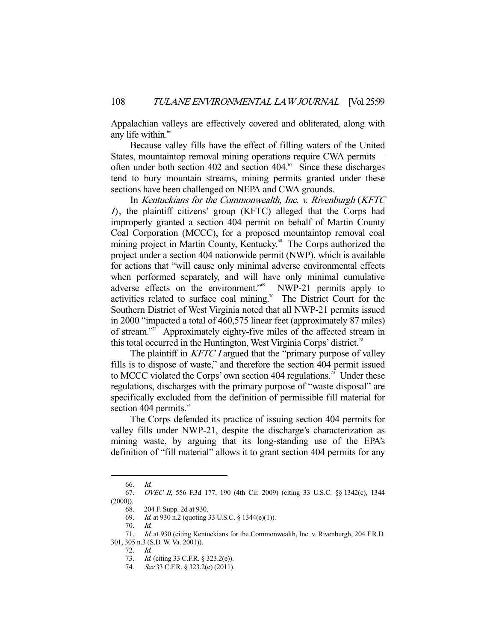Appalachian valleys are effectively covered and obliterated, along with any life within.<sup>66</sup>

 Because valley fills have the effect of filling waters of the United States, mountaintop removal mining operations require CWA permits often under both section 402 and section  $404$ .<sup> $\sigma$ </sup> Since these discharges tend to bury mountain streams, mining permits granted under these sections have been challenged on NEPA and CWA grounds.

In Kentuckians for the Commonwealth, Inc. v. Rivenburgh (KFTC <sup>I</sup>), the plaintiff citizens' group (KFTC) alleged that the Corps had improperly granted a section 404 permit on behalf of Martin County Coal Corporation (MCCC), for a proposed mountaintop removal coal mining project in Martin County, Kentucky.<sup>68</sup> The Corps authorized the project under a section 404 nationwide permit (NWP), which is available for actions that "will cause only minimal adverse environmental effects when performed separately, and will have only minimal cumulative adverse effects on the environment."<sup>69</sup> NWP-21 permits apply to activities related to surface coal mining.<sup>70</sup> The District Court for the Southern District of West Virginia noted that all NWP-21 permits issued in 2000 "impacted a total of 460,575 linear feet (approximately 87 miles) of stream."71 Approximately eighty-five miles of the affected stream in this total occurred in the Huntington, West Virginia Corps' district.<sup>72</sup>

The plaintiff in *KFTC I* argued that the "primary purpose of valley fills is to dispose of waste," and therefore the section 404 permit issued to MCCC violated the Corps' own section 404 regulations.<sup>73</sup> Under these regulations, discharges with the primary purpose of "waste disposal" are specifically excluded from the definition of permissible fill material for section 404 permits. $4^4$ 

 The Corps defended its practice of issuing section 404 permits for valley fills under NWP-21, despite the discharge's characterization as mining waste, by arguing that its long-standing use of the EPA's definition of "fill material" allows it to grant section 404 permits for any

 <sup>66.</sup> Id.

 <sup>67.</sup> OVEC II, 556 F.3d 177, 190 (4th Cir. 2009) (citing 33 U.S.C. §§ 1342(c), 1344 (2000)).

 <sup>68. 204</sup> F. Supp. 2d at 930.

 <sup>69.</sup> Id. at 930 n.2 (quoting 33 U.S.C. § 1344(e)(1)).

 <sup>70.</sup> Id.

 <sup>71.</sup> Id. at 930 (citing Kentuckians for the Commonwealth, Inc. v. Rivenburgh, 204 F.R.D. 301, 305 n.3 (S.D. W. Va. 2001)).

 <sup>72.</sup> Id.

<sup>73.</sup> *Id.* (citing 33 C.F.R. § 323.2(e)).

<sup>74.</sup> See 33 C.F.R. § 323.2(e) (2011).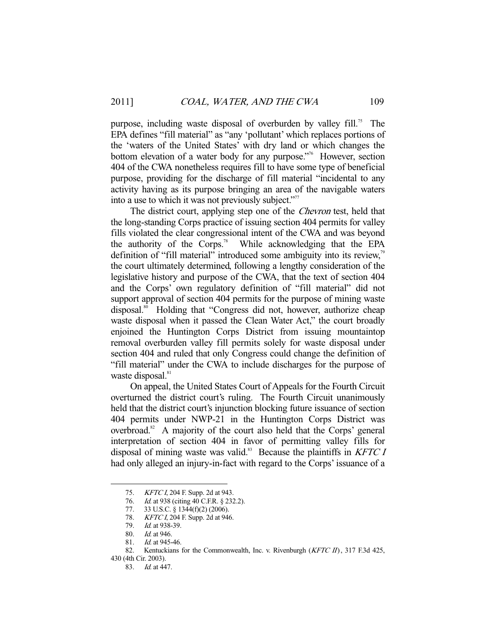purpose, including waste disposal of overburden by valley fill.<sup>75</sup> The EPA defines "fill material" as "any 'pollutant' which replaces portions of the 'waters of the United States' with dry land or which changes the bottom elevation of a water body for any purpose."76 However, section 404 of the CWA nonetheless requires fill to have some type of beneficial purpose, providing for the discharge of fill material "incidental to any activity having as its purpose bringing an area of the navigable waters into a use to which it was not previously subject."<sup>77</sup>

The district court, applying step one of the *Chevron* test, held that the long-standing Corps practice of issuing section 404 permits for valley fills violated the clear congressional intent of the CWA and was beyond the authority of the Corps.<sup>78</sup> While acknowledging that the EPA definition of "fill material" introduced some ambiguity into its review,<sup>79</sup> the court ultimately determined, following a lengthy consideration of the legislative history and purpose of the CWA, that the text of section 404 and the Corps' own regulatory definition of "fill material" did not support approval of section 404 permits for the purpose of mining waste disposal.<sup>80</sup> Holding that "Congress did not, however, authorize cheap waste disposal when it passed the Clean Water Act," the court broadly enjoined the Huntington Corps District from issuing mountaintop removal overburden valley fill permits solely for waste disposal under section 404 and ruled that only Congress could change the definition of "fill material" under the CWA to include discharges for the purpose of waste disposal.<sup>81</sup>

 On appeal, the United States Court of Appeals for the Fourth Circuit overturned the district court's ruling. The Fourth Circuit unanimously held that the district court's injunction blocking future issuance of section 404 permits under NWP-21 in the Huntington Corps District was overbroad.<sup>82</sup> A majority of the court also held that the Corps' general interpretation of section 404 in favor of permitting valley fills for disposal of mining waste was valid.<sup>83</sup> Because the plaintiffs in  $KFTC I$ had only alleged an injury-in-fact with regard to the Corps' issuance of a

<sup>75.</sup> KFTC I, 204 F. Supp. 2d at 943.

<sup>76.</sup> *Id.* at 938 (citing 40 C.F.R. § 232.2).

 <sup>77. 33</sup> U.S.C. § 1344(f)(2) (2006).

<sup>78.</sup> KFTC I, 204 F. Supp. 2d at 946.

<sup>79.</sup> *Id.* at 938-39.

<sup>80.</sup> *Id.* at 946.

<sup>81.</sup> *Id.* at 945-46.

<sup>82.</sup> Kentuckians for the Commonwealth, Inc. v. Rivenburgh (KFTC II), 317 F.3d 425,

<sup>430 (4</sup>th Cir. 2003).

 <sup>83.</sup> Id. at 447.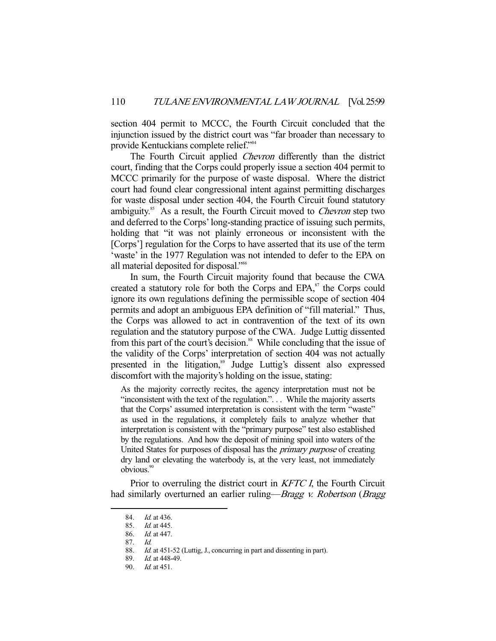section 404 permit to MCCC, the Fourth Circuit concluded that the injunction issued by the district court was "far broader than necessary to provide Kentuckians complete relief."84

 The Fourth Circuit applied Chevron differently than the district court, finding that the Corps could properly issue a section 404 permit to MCCC primarily for the purpose of waste disposal. Where the district court had found clear congressional intent against permitting discharges for waste disposal under section 404, the Fourth Circuit found statutory ambiguity.<sup>85</sup> As a result, the Fourth Circuit moved to *Chevron* step two and deferred to the Corps' long-standing practice of issuing such permits, holding that "it was not plainly erroneous or inconsistent with the [Corps'] regulation for the Corps to have asserted that its use of the term 'waste' in the 1977 Regulation was not intended to defer to the EPA on all material deposited for disposal."<sup>86</sup>

 In sum, the Fourth Circuit majority found that because the CWA created a statutory role for both the Corps and  $EPA$ ,  $s<sup>7</sup>$  the Corps could ignore its own regulations defining the permissible scope of section 404 permits and adopt an ambiguous EPA definition of "fill material." Thus, the Corps was allowed to act in contravention of the text of its own regulation and the statutory purpose of the CWA. Judge Luttig dissented from this part of the court's decision.<sup>88</sup> While concluding that the issue of the validity of the Corps' interpretation of section 404 was not actually presented in the litigation,<sup>89</sup> Judge Luttig's dissent also expressed discomfort with the majority's holding on the issue, stating:

As the majority correctly recites, the agency interpretation must not be "inconsistent with the text of the regulation.". . . While the majority asserts that the Corps' assumed interpretation is consistent with the term "waste" as used in the regulations, it completely fails to analyze whether that interpretation is consistent with the "primary purpose" test also established by the regulations. And how the deposit of mining spoil into waters of the United States for purposes of disposal has the primary purpose of creating dry land or elevating the waterbody is, at the very least, not immediately obvious.<sup>90</sup>

Prior to overruling the district court in *KFTC I*, the Fourth Circuit had similarly overturned an earlier ruling—Bragg v. Robertson (Bragg

<sup>84.</sup> *Id.* at 436.<br>85. *Id.* at 445.

Id. at 445.

<sup>86.</sup> *Id.* at 447.

 <sup>87.</sup> Id.

<sup>88.</sup> Id. at 451-52 (Luttig, J., concurring in part and dissenting in part).

 <sup>89.</sup> Id. at 448-49.

 <sup>90.</sup> Id. at 451.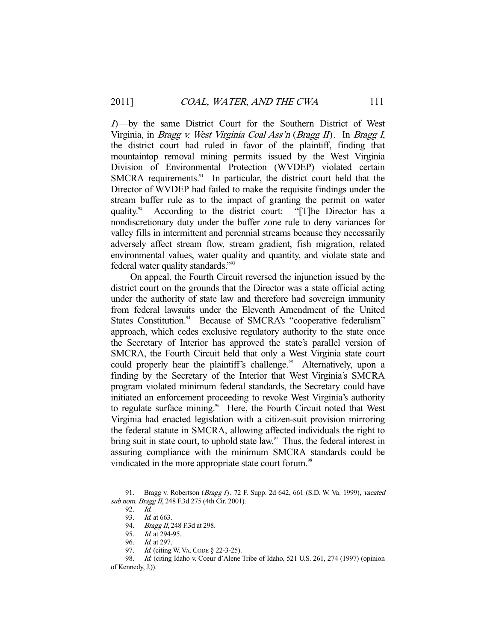<sup>I</sup>)—by the same District Court for the Southern District of West Virginia, in Bragg v. West Virginia Coal Ass'n (Bragg II). In Bragg I, the district court had ruled in favor of the plaintiff, finding that mountaintop removal mining permits issued by the West Virginia Division of Environmental Protection (WVDEP) violated certain SMCRA requirements.<sup>91</sup> In particular, the district court held that the Director of WVDEP had failed to make the requisite findings under the stream buffer rule as to the impact of granting the permit on water quality.<sup>92</sup> According to the district court: "[T]he Director has a nondiscretionary duty under the buffer zone rule to deny variances for valley fills in intermittent and perennial streams because they necessarily adversely affect stream flow, stream gradient, fish migration, related environmental values, water quality and quantity, and violate state and federal water quality standards."93

 On appeal, the Fourth Circuit reversed the injunction issued by the district court on the grounds that the Director was a state official acting under the authority of state law and therefore had sovereign immunity from federal lawsuits under the Eleventh Amendment of the United States Constitution.<sup>94</sup> Because of SMCRA's "cooperative federalism" approach, which cedes exclusive regulatory authority to the state once the Secretary of Interior has approved the state's parallel version of SMCRA, the Fourth Circuit held that only a West Virginia state court could properly hear the plaintiff's challenge.<sup>95</sup> Alternatively, upon a finding by the Secretary of the Interior that West Virginia's SMCRA program violated minimum federal standards, the Secretary could have initiated an enforcement proceeding to revoke West Virginia's authority to regulate surface mining.<sup>96</sup> Here, the Fourth Circuit noted that West Virginia had enacted legislation with a citizen-suit provision mirroring the federal statute in SMCRA, allowing affected individuals the right to bring suit in state court, to uphold state law. $\alpha$ <sup>97</sup> Thus, the federal interest in assuring compliance with the minimum SMCRA standards could be vindicated in the more appropriate state court forum.<sup>98</sup>

<sup>91.</sup> Bragg v. Robertson (Bragg I), 72 F. Supp. 2d 642, 661 (S.D. W. Va. 1999), vacated sub nom. Bragg II, 248 F.3d 275 (4th Cir. 2001).

 <sup>92.</sup> Id.

<sup>93.</sup> *Id.* at 663.

<sup>94.</sup> *Bragg II*, 248 F.3d at 298.

<sup>95.</sup> *Id.* at 294-95.

 <sup>96.</sup> Id. at 297.

<sup>97.</sup> *Id.* (citing W. VA. CODE § 22-3-25).

 <sup>98.</sup> Id. (citing Idaho v. Coeur d'Alene Tribe of Idaho, 521 U.S. 261, 274 (1997) (opinion of Kennedy, J.)).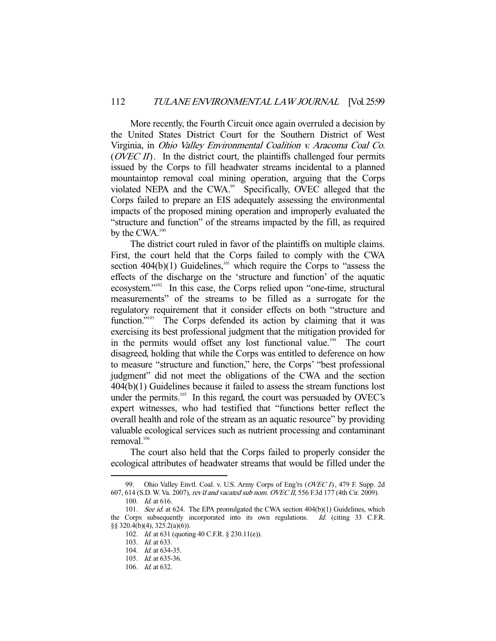More recently, the Fourth Circuit once again overruled a decision by the United States District Court for the Southern District of West Virginia, in Ohio Valley Environmental Coalition v. Aracoma Coal Co. (*OVEC II*). In the district court, the plaintiffs challenged four permits issued by the Corps to fill headwater streams incidental to a planned mountaintop removal coal mining operation, arguing that the Corps violated NEPA and the CWA.<sup>99</sup> Specifically, OVEC alleged that the Corps failed to prepare an EIS adequately assessing the environmental impacts of the proposed mining operation and improperly evaluated the "structure and function" of the streams impacted by the fill, as required by the CWA.<sup>100</sup>

 The district court ruled in favor of the plaintiffs on multiple claims. First, the court held that the Corps failed to comply with the CWA section  $404(b)(1)$  Guidelines,<sup>101</sup> which require the Corps to "assess the effects of the discharge on the 'structure and function' of the aquatic ecosystem."102 In this case, the Corps relied upon "one-time, structural measurements" of the streams to be filled as a surrogate for the regulatory requirement that it consider effects on both "structure and function."<sup>103</sup> The Corps defended its action by claiming that it was exercising its best professional judgment that the mitigation provided for in the permits would offset any lost functional value.<sup>104</sup> The court disagreed, holding that while the Corps was entitled to deference on how to measure "structure and function," here, the Corps' "best professional judgment" did not meet the obligations of the CWA and the section 404(b)(1) Guidelines because it failed to assess the stream functions lost under the permits.<sup>105</sup> In this regard, the court was persuaded by OVEC's expert witnesses, who had testified that "functions better reflect the overall health and role of the stream as an aquatic resource" by providing valuable ecological services such as nutrient processing and contaminant removal.<sup>106</sup>

 The court also held that the Corps failed to properly consider the ecological attributes of headwater streams that would be filled under the

<sup>99.</sup> Ohio Valley Envtl. Coal. v. U.S. Army Corps of Eng'rs (OVEC I), 479 F. Supp. 2d 607, 614 (S.D. W. Va. 2007), rev'd and vacated sub nom. OVEC II, 556 F.3d 177 (4th Cir. 2009).

 <sup>100.</sup> Id. at 616.

<sup>101.</sup> See id. at 624. The EPA promulgated the CWA section 404(b)(1) Guidelines, which the Corps subsequently incorporated into its own regulations. Id. (citing 33 C.F.R. §§ 320.4(b)(4), 325.2(a)(6)).

 <sup>102.</sup> Id. at 631 (quoting 40 C.F.R. § 230.11(e)).

<sup>103.</sup> *Id.* at 633.

<sup>104.</sup> *Id.* at 634-35.

 <sup>105.</sup> Id. at 635-36.

 <sup>106.</sup> Id. at 632.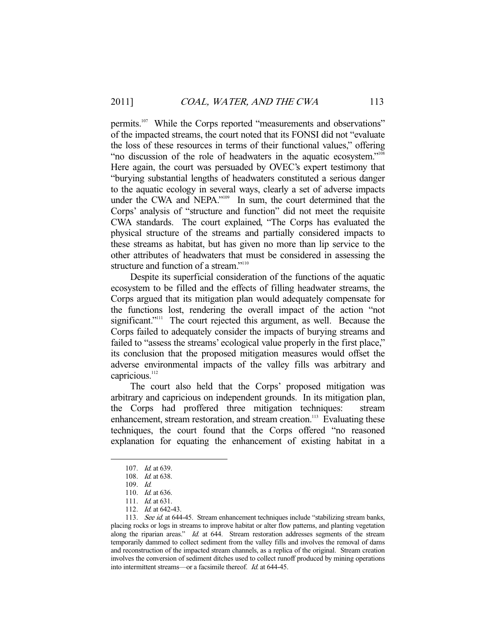permits.<sup>107</sup> While the Corps reported "measurements and observations" of the impacted streams, the court noted that its FONSI did not "evaluate the loss of these resources in terms of their functional values," offering "no discussion of the role of headwaters in the aquatic ecosystem."108 Here again, the court was persuaded by OVEC's expert testimony that "burying substantial lengths of headwaters constituted a serious danger to the aquatic ecology in several ways, clearly a set of adverse impacts under the CWA and NEPA."<sup>109</sup> In sum, the court determined that the Corps' analysis of "structure and function" did not meet the requisite CWA standards. The court explained, "The Corps has evaluated the physical structure of the streams and partially considered impacts to these streams as habitat, but has given no more than lip service to the other attributes of headwaters that must be considered in assessing the structure and function of a stream."<sup>110</sup>

 Despite its superficial consideration of the functions of the aquatic ecosystem to be filled and the effects of filling headwater streams, the Corps argued that its mitigation plan would adequately compensate for the functions lost, rendering the overall impact of the action "not significant."<sup>111</sup> The court rejected this argument, as well. Because the Corps failed to adequately consider the impacts of burying streams and failed to "assess the streams' ecological value properly in the first place," its conclusion that the proposed mitigation measures would offset the adverse environmental impacts of the valley fills was arbitrary and capricious.<sup>112</sup>

 The court also held that the Corps' proposed mitigation was arbitrary and capricious on independent grounds. In its mitigation plan, the Corps had proffered three mitigation techniques: stream enhancement, stream restoration, and stream creation.<sup>113</sup> Evaluating these techniques, the court found that the Corps offered "no reasoned explanation for equating the enhancement of existing habitat in a

 <sup>107.</sup> Id. at 639.

 <sup>108.</sup> Id. at 638.

 <sup>109.</sup> Id.

 <sup>110.</sup> Id. at 636.

 <sup>111.</sup> Id. at 631.

<sup>112.</sup> *Id.* at 642-43.

<sup>113.</sup> See id. at 644-45. Stream enhancement techniques include "stabilizing stream banks, placing rocks or logs in streams to improve habitat or alter flow patterns, and planting vegetation along the riparian areas." Id. at 644. Stream restoration addresses segments of the stream temporarily dammed to collect sediment from the valley fills and involves the removal of dams and reconstruction of the impacted stream channels, as a replica of the original. Stream creation involves the conversion of sediment ditches used to collect runoff produced by mining operations into intermittent streams—or a facsimile thereof. Id. at 644-45.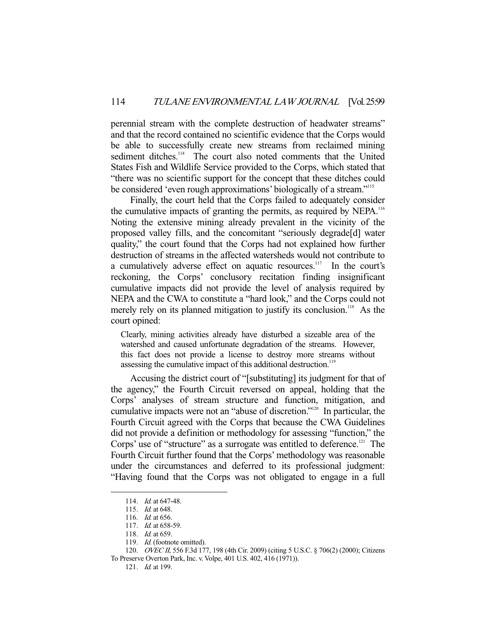perennial stream with the complete destruction of headwater streams" and that the record contained no scientific evidence that the Corps would be able to successfully create new streams from reclaimed mining sediment ditches.<sup>114</sup> The court also noted comments that the United States Fish and Wildlife Service provided to the Corps, which stated that "there was no scientific support for the concept that these ditches could be considered 'even rough approximations' biologically of a stream."115

 Finally, the court held that the Corps failed to adequately consider the cumulative impacts of granting the permits, as required by NEPA.<sup>116</sup> Noting the extensive mining already prevalent in the vicinity of the proposed valley fills, and the concomitant "seriously degrade[d] water quality," the court found that the Corps had not explained how further destruction of streams in the affected watersheds would not contribute to a cumulatively adverse effect on aquatic resources.<sup>117</sup> In the court's reckoning, the Corps' conclusory recitation finding insignificant cumulative impacts did not provide the level of analysis required by NEPA and the CWA to constitute a "hard look," and the Corps could not merely rely on its planned mitigation to justify its conclusion.<sup>118</sup> As the court opined:

Clearly, mining activities already have disturbed a sizeable area of the watershed and caused unfortunate degradation of the streams. However, this fact does not provide a license to destroy more streams without assessing the cumulative impact of this additional destruction.<sup>119</sup>

 Accusing the district court of "[substituting] its judgment for that of the agency," the Fourth Circuit reversed on appeal, holding that the Corps' analyses of stream structure and function, mitigation, and cumulative impacts were not an "abuse of discretion."<sup>120</sup> In particular, the Fourth Circuit agreed with the Corps that because the CWA Guidelines did not provide a definition or methodology for assessing "function," the Corps' use of "structure" as a surrogate was entitled to deference.<sup>121</sup> The Fourth Circuit further found that the Corps' methodology was reasonable under the circumstances and deferred to its professional judgment: "Having found that the Corps was not obligated to engage in a full

 <sup>114.</sup> Id. at 647-48.

 <sup>115.</sup> Id. at 648.

 <sup>116.</sup> Id. at 656.

 <sup>117.</sup> Id. at 658-59.

 <sup>118.</sup> Id. at 659.

<sup>119.</sup> *Id.* (footnote omitted).

 <sup>120.</sup> OVEC II, 556 F.3d 177, 198 (4th Cir. 2009) (citing 5 U.S.C. § 706(2) (2000); Citizens To Preserve Overton Park, Inc. v. Volpe, 401 U.S. 402, 416 (1971)).

 <sup>121.</sup> Id. at 199.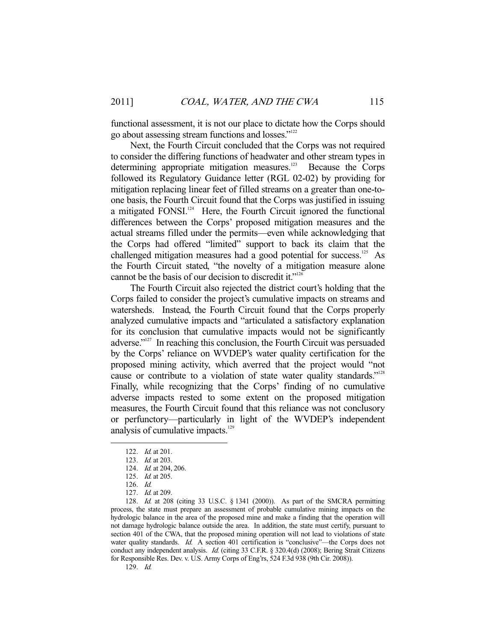functional assessment, it is not our place to dictate how the Corps should go about assessing stream functions and losses."122

 Next, the Fourth Circuit concluded that the Corps was not required to consider the differing functions of headwater and other stream types in determining appropriate mitigation measures.<sup>123</sup> Because the Corps followed its Regulatory Guidance letter (RGL 02-02) by providing for mitigation replacing linear feet of filled streams on a greater than one-toone basis, the Fourth Circuit found that the Corps was justified in issuing a mitigated FONSI.<sup>124</sup> Here, the Fourth Circuit ignored the functional differences between the Corps' proposed mitigation measures and the actual streams filled under the permits—even while acknowledging that the Corps had offered "limited" support to back its claim that the challenged mitigation measures had a good potential for success.<sup>125</sup> As the Fourth Circuit stated, "the novelty of a mitigation measure alone cannot be the basis of our decision to discredit it."<sup>126</sup>

 The Fourth Circuit also rejected the district court's holding that the Corps failed to consider the project's cumulative impacts on streams and watersheds. Instead, the Fourth Circuit found that the Corps properly analyzed cumulative impacts and "articulated a satisfactory explanation for its conclusion that cumulative impacts would not be significantly adverse."127 In reaching this conclusion, the Fourth Circuit was persuaded by the Corps' reliance on WVDEP's water quality certification for the proposed mining activity, which averred that the project would "not cause or contribute to a violation of state water quality standards."<sup>128</sup> Finally, while recognizing that the Corps' finding of no cumulative adverse impacts rested to some extent on the proposed mitigation measures, the Fourth Circuit found that this reliance was not conclusory or perfunctory—particularly in light of the WVDEP's independent analysis of cumulative impacts.<sup>129</sup>

-

127. *Id.* at 209.

 128. Id. at 208 (citing 33 U.S.C. § 1341 (2000)). As part of the SMCRA permitting process, the state must prepare an assessment of probable cumulative mining impacts on the hydrologic balance in the area of the proposed mine and make a finding that the operation will not damage hydrologic balance outside the area. In addition, the state must certify, pursuant to section 401 of the CWA, that the proposed mining operation will not lead to violations of state water quality standards. Id. A section 401 certification is "conclusive"—the Corps does not conduct any independent analysis. Id. (citing 33 C.F.R. § 320.4(d) (2008); Bering Strait Citizens for Responsible Res. Dev. v. U.S. Army Corps of Eng'rs, 524 F.3d 938 (9th Cir. 2008)).

129. Id.

 <sup>122.</sup> Id. at 201.

 <sup>123.</sup> Id. at 203.

 <sup>124.</sup> Id. at 204, 206.

<sup>125.</sup> *Id.* at 205.

 <sup>126.</sup> Id.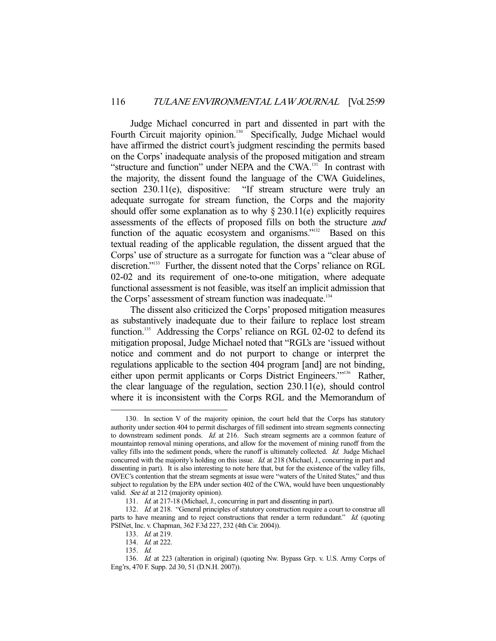Judge Michael concurred in part and dissented in part with the Fourth Circuit majority opinion.<sup>130</sup> Specifically, Judge Michael would have affirmed the district court's judgment rescinding the permits based on the Corps' inadequate analysis of the proposed mitigation and stream "structure and function" under NEPA and the CWA.<sup>131</sup> In contrast with the majority, the dissent found the language of the CWA Guidelines, section 230.11(e), dispositive: "If stream structure were truly an adequate surrogate for stream function, the Corps and the majority should offer some explanation as to why  $\S 230.11(e)$  explicitly requires assessments of the effects of proposed fills on both the structure and function of the aquatic ecosystem and organisms."<sup>132</sup> Based on this textual reading of the applicable regulation, the dissent argued that the Corps' use of structure as a surrogate for function was a "clear abuse of discretion."133 Further, the dissent noted that the Corps' reliance on RGL 02-02 and its requirement of one-to-one mitigation, where adequate functional assessment is not feasible, was itself an implicit admission that the Corps' assessment of stream function was inadequate.<sup>134</sup>

 The dissent also criticized the Corps' proposed mitigation measures as substantively inadequate due to their failure to replace lost stream function.<sup>135</sup> Addressing the Corps' reliance on RGL 02-02 to defend its mitigation proposal, Judge Michael noted that "RGL's are 'issued without notice and comment and do not purport to change or interpret the regulations applicable to the section 404 program [and] are not binding, either upon permit applicants or Corps District Engineers.'"136 Rather, the clear language of the regulation, section 230.11(e), should control where it is inconsistent with the Corps RGL and the Memorandum of

 <sup>130.</sup> In section V of the majority opinion, the court held that the Corps has statutory authority under section 404 to permit discharges of fill sediment into stream segments connecting to downstream sediment ponds. Id. at 216. Such stream segments are a common feature of mountaintop removal mining operations, and allow for the movement of mining runoff from the valley fills into the sediment ponds, where the runoff is ultimately collected. Id. Judge Michael concurred with the majority's holding on this issue. *Id.* at 218 (Michael, J., concurring in part and dissenting in part). It is also interesting to note here that, but for the existence of the valley fills, OVEC's contention that the stream segments at issue were "waters of the United States," and thus subject to regulation by the EPA under section 402 of the CWA, would have been unquestionably valid. See id. at 212 (majority opinion).

 <sup>131.</sup> Id. at 217-18 (Michael, J., concurring in part and dissenting in part).

<sup>132.</sup> Id. at 218. "General principles of statutory construction require a court to construe all parts to have meaning and to reject constructions that render a term redundant." Id. (quoting PSINet, Inc. v. Chapman, 362 F.3d 227, 232 (4th Cir. 2004)).

 <sup>133.</sup> Id. at 219.

<sup>134.</sup> *Id.* at 222.

 <sup>135.</sup> Id.

 <sup>136.</sup> Id. at 223 (alteration in original) (quoting Nw. Bypass Grp. v. U.S. Army Corps of Eng'rs, 470 F. Supp. 2d 30, 51 (D.N.H. 2007)).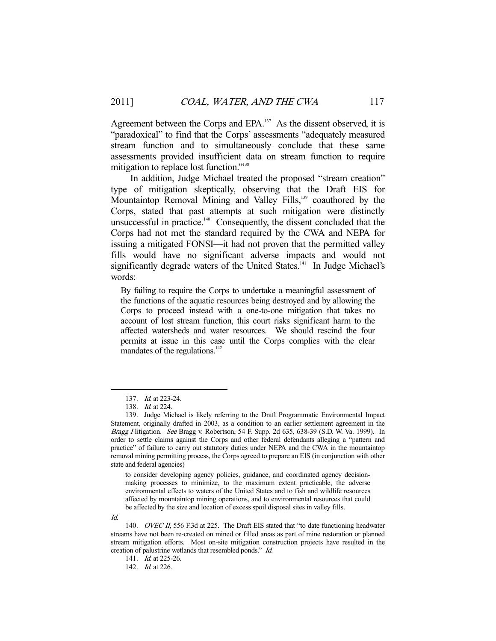Agreement between the Corps and EPA.<sup>137</sup> As the dissent observed, it is "paradoxical" to find that the Corps' assessments "adequately measured stream function and to simultaneously conclude that these same assessments provided insufficient data on stream function to require mitigation to replace lost function."<sup>138</sup>

 In addition, Judge Michael treated the proposed "stream creation" type of mitigation skeptically, observing that the Draft EIS for Mountaintop Removal Mining and Valley Fills,<sup>139</sup> coauthored by the Corps, stated that past attempts at such mitigation were distinctly unsuccessful in practice.<sup>140</sup> Consequently, the dissent concluded that the Corps had not met the standard required by the CWA and NEPA for issuing a mitigated FONSI—it had not proven that the permitted valley fills would have no significant adverse impacts and would not significantly degrade waters of the United States.<sup>141</sup> In Judge Michael's words:

By failing to require the Corps to undertake a meaningful assessment of the functions of the aquatic resources being destroyed and by allowing the Corps to proceed instead with a one-to-one mitigation that takes no account of lost stream function, this court risks significant harm to the affected watersheds and water resources. We should rescind the four permits at issue in this case until the Corps complies with the clear mandates of the regulations. $142$ 

to consider developing agency policies, guidance, and coordinated agency decisionmaking processes to minimize, to the maximum extent practicable, the adverse environmental effects to waters of the United States and to fish and wildlife resources affected by mountaintop mining operations, and to environmental resources that could be affected by the size and location of excess spoil disposal sites in valley fills.

Id.

-

141. Id. at 225-26.

142. *Id.* at 226.

 <sup>137.</sup> Id. at 223-24.

 <sup>138.</sup> Id. at 224.

 <sup>139.</sup> Judge Michael is likely referring to the Draft Programmatic Environmental Impact Statement, originally drafted in 2003, as a condition to an earlier settlement agreement in the Bragg I litigation. See Bragg v. Robertson, 54 F. Supp. 2d 635, 638-39 (S.D. W. Va. 1999). In order to settle claims against the Corps and other federal defendants alleging a "pattern and practice" of failure to carry out statutory duties under NEPA and the CWA in the mountaintop removal mining permitting process, the Corps agreed to prepare an EIS (in conjunction with other state and federal agencies)

<sup>140.</sup> *OVEC II*, 556 F.3d at 225. The Draft EIS stated that "to date functioning headwater streams have not been re-created on mined or filled areas as part of mine restoration or planned stream mitigation efforts. Most on-site mitigation construction projects have resulted in the creation of palustrine wetlands that resembled ponds." Id.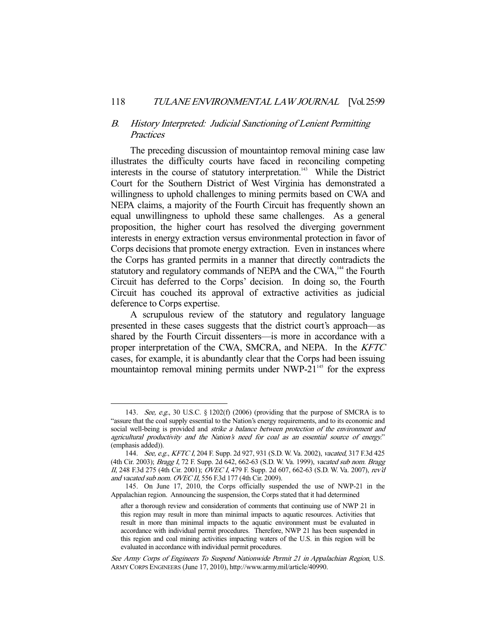# B. History Interpreted: Judicial Sanctioning of Lenient Permitting Practices

 The preceding discussion of mountaintop removal mining case law illustrates the difficulty courts have faced in reconciling competing interests in the course of statutory interpretation.<sup>143</sup> While the District Court for the Southern District of West Virginia has demonstrated a willingness to uphold challenges to mining permits based on CWA and NEPA claims, a majority of the Fourth Circuit has frequently shown an equal unwillingness to uphold these same challenges. As a general proposition, the higher court has resolved the diverging government interests in energy extraction versus environmental protection in favor of Corps decisions that promote energy extraction. Even in instances where the Corps has granted permits in a manner that directly contradicts the statutory and regulatory commands of NEPA and the CWA,<sup>144</sup> the Fourth Circuit has deferred to the Corps' decision. In doing so, the Fourth Circuit has couched its approval of extractive activities as judicial deference to Corps expertise.

 A scrupulous review of the statutory and regulatory language presented in these cases suggests that the district court's approach—as shared by the Fourth Circuit dissenters—is more in accordance with a proper interpretation of the CWA, SMCRA, and NEPA. In the *KFTC* cases, for example, it is abundantly clear that the Corps had been issuing mountaintop removal mining permits under  $NWP-21<sup>145</sup>$  for the express

<sup>143.</sup> See, e.g., 30 U.S.C.  $\S$  1202(f) (2006) (providing that the purpose of SMCRA is to "assure that the coal supply essential to the Nation's energy requirements, and to its economic and social well-being is provided and strike a balance between protection of the environment and agricultural productivity and the Nation's need for coal as an essential source of energy." (emphasis added)).

 <sup>144.</sup> See, e.g., KFTC I, 204 F. Supp. 2d 927, 931 (S.D. W. Va. 2002), vacated, 317 F.3d 425 (4th Cir. 2003); Bragg I, 72 F. Supp. 2d 642, 662-63 (S.D. W. Va. 1999), vacated sub nom. Bragg II, 248 F.3d 275 (4th Cir. 2001); OVEC I, 479 F. Supp. 2d 607, 662-63 (S.D. W. Va. 2007), rev'd and vacated sub nom. OVEC II, 556 F.3d 177 (4th Cir. 2009).

 <sup>145.</sup> On June 17, 2010, the Corps officially suspended the use of NWP-21 in the Appalachian region. Announcing the suspension, the Corps stated that it had determined

after a thorough review and consideration of comments that continuing use of NWP 21 in this region may result in more than minimal impacts to aquatic resources. Activities that result in more than minimal impacts to the aquatic environment must be evaluated in accordance with individual permit procedures. Therefore, NWP 21 has been suspended in this region and coal mining activities impacting waters of the U.S. in this region will be evaluated in accordance with individual permit procedures.

See Army Corps of Engineers To Suspend Nationwide Permit 21 in Appalachian Region, U.S. ARMY CORPS ENGINEERS (June 17, 2010), http://www.army.mil/article/40990.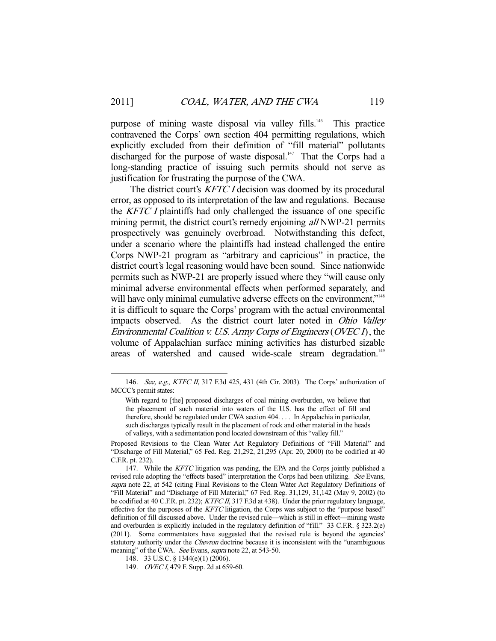purpose of mining waste disposal via valley fills.<sup>146</sup> This practice contravened the Corps' own section 404 permitting regulations, which explicitly excluded from their definition of "fill material" pollutants discharged for the purpose of waste disposal.<sup>147</sup> That the Corps had a long-standing practice of issuing such permits should not serve as justification for frustrating the purpose of the CWA.

The district court's *KFTC I* decision was doomed by its procedural error, as opposed to its interpretation of the law and regulations. Because the KFTC I plaintiffs had only challenged the issuance of one specific mining permit, the district court's remedy enjoining all NWP-21 permits prospectively was genuinely overbroad. Notwithstanding this defect, under a scenario where the plaintiffs had instead challenged the entire Corps NWP-21 program as "arbitrary and capricious" in practice, the district court's legal reasoning would have been sound. Since nationwide permits such as NWP-21 are properly issued where they "will cause only minimal adverse environmental effects when performed separately, and will have only minimal cumulative adverse effects on the environment,"<sup>148</sup> it is difficult to square the Corps' program with the actual environmental impacts observed. As the district court later noted in Ohio Valley Environmental Coalition v. U.S. Army Corps of Engineers (OVEC I), the volume of Appalachian surface mining activities has disturbed sizable areas of watershed and caused wide-scale stream degradation.<sup>149</sup>

<sup>146.</sup> See, e.g., KTFC II, 317 F.3d 425, 431 (4th Cir. 2003). The Corps' authorization of MCCC's permit states:

With regard to [the] proposed discharges of coal mining overburden, we believe that the placement of such material into waters of the U.S. has the effect of fill and therefore, should be regulated under CWA section 404. . . . In Appalachia in particular, such discharges typically result in the placement of rock and other material in the heads of valleys, with a sedimentation pond located downstream of this "valley fill."

Proposed Revisions to the Clean Water Act Regulatory Definitions of "Fill Material" and "Discharge of Fill Material," 65 Fed. Reg. 21,292, 21,295 (Apr. 20, 2000) (to be codified at 40 C.F.R. pt. 232).

<sup>147.</sup> While the *KFTC* litigation was pending, the EPA and the Corps jointly published a revised rule adopting the "effects based" interpretation the Corps had been utilizing. See Evans, supra note 22, at 542 (citing Final Revisions to the Clean Water Act Regulatory Definitions of "Fill Material" and "Discharge of Fill Material," 67 Fed. Reg. 31,129, 31,142 (May 9, 2002) (to be codified at 40 C.F.R. pt. 232); KTFC II, 317 F.3d at 438). Under the prior regulatory language, effective for the purposes of the KFTC litigation, the Corps was subject to the "purpose based" definition of fill discussed above. Under the revised rule—which is still in effect—mining waste and overburden is explicitly included in the regulatory definition of "fill." 33 C.F.R. § 323.2(e) (2011). Some commentators have suggested that the revised rule is beyond the agencies' statutory authority under the *Chevron* doctrine because it is inconsistent with the "unambiguous meaning" of the CWA. See Evans, supra note 22, at 543-50.

 <sup>148. 33</sup> U.S.C. § 1344(e)(1) (2006).

<sup>149.</sup> *OVEC I*, 479 F. Supp. 2d at 659-60.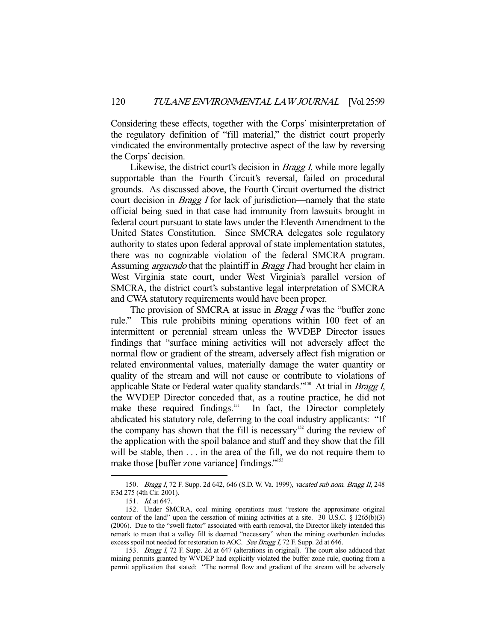Considering these effects, together with the Corps' misinterpretation of the regulatory definition of "fill material," the district court properly vindicated the environmentally protective aspect of the law by reversing the Corps' decision.

Likewise, the district court's decision in *Bragg I*, while more legally supportable than the Fourth Circuit's reversal, failed on procedural grounds. As discussed above, the Fourth Circuit overturned the district court decision in Bragg I for lack of jurisdiction—namely that the state official being sued in that case had immunity from lawsuits brought in federal court pursuant to state laws under the Eleventh Amendment to the United States Constitution. Since SMCRA delegates sole regulatory authority to states upon federal approval of state implementation statutes, there was no cognizable violation of the federal SMCRA program. Assuming *arguendo* that the plaintiff in *Bragg I* had brought her claim in West Virginia state court, under West Virginia's parallel version of SMCRA, the district court's substantive legal interpretation of SMCRA and CWA statutory requirements would have been proper.

The provision of SMCRA at issue in *Bragg I* was the "buffer zone" rule." This rule prohibits mining operations within 100 feet of an intermittent or perennial stream unless the WVDEP Director issues findings that "surface mining activities will not adversely affect the normal flow or gradient of the stream, adversely affect fish migration or related environmental values, materially damage the water quantity or quality of the stream and will not cause or contribute to violations of applicable State or Federal water quality standards."<sup>150</sup> At trial in *Bragg I*, the WVDEP Director conceded that, as a routine practice, he did not make these required findings.<sup>151</sup> In fact, the Director completely abdicated his statutory role, deferring to the coal industry applicants: "If the company has shown that the fill is necessary<sup>152</sup> during the review of the application with the spoil balance and stuff and they show that the fill will be stable, then  $\dots$  in the area of the fill, we do not require them to make those [buffer zone variance] findings."153

-

 153. Bragg I, 72 F. Supp. 2d at 647 (alterations in original). The court also adduced that mining permits granted by WVDEP had explicitly violated the buffer zone rule, quoting from a permit application that stated: "The normal flow and gradient of the stream will be adversely

 <sup>150.</sup> Bragg I, 72 F. Supp. 2d 642, 646 (S.D. W. Va. 1999), vacated sub nom. Bragg II, 248 F.3d 275 (4th Cir. 2001).

 <sup>151.</sup> Id. at 647.

 <sup>152.</sup> Under SMCRA, coal mining operations must "restore the approximate original contour of the land" upon the cessation of mining activities at a site. 30 U.S.C.  $\S$  1265(b)(3) (2006). Due to the "swell factor" associated with earth removal, the Director likely intended this remark to mean that a valley fill is deemed "necessary" when the mining overburden includes excess spoil not needed for restoration to AOC. See Bragg I, 72 F. Supp. 2d at 646.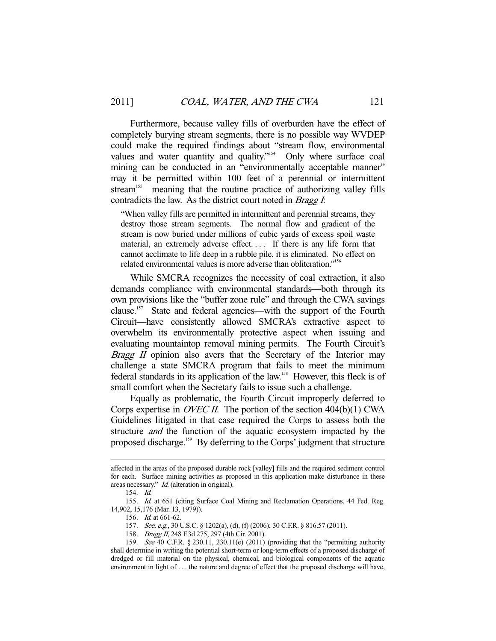Furthermore, because valley fills of overburden have the effect of completely burying stream segments, there is no possible way WVDEP could make the required findings about "stream flow, environmental values and water quantity and quality."<sup>154</sup> Only where surface coal mining can be conducted in an "environmentally acceptable manner" may it be permitted within 100 feet of a perennial or intermittent stream<sup>155</sup>—meaning that the routine practice of authorizing valley fills contradicts the law. As the district court noted in *Bragg I*:

"When valley fills are permitted in intermittent and perennial streams, they destroy those stream segments. The normal flow and gradient of the stream is now buried under millions of cubic yards of excess spoil waste material, an extremely adverse effect.... If there is any life form that cannot acclimate to life deep in a rubble pile, it is eliminated. No effect on related environmental values is more adverse than obliteration."<sup>156</sup>

 While SMCRA recognizes the necessity of coal extraction, it also demands compliance with environmental standards—both through its own provisions like the "buffer zone rule" and through the CWA savings clause.157 State and federal agencies—with the support of the Fourth Circuit—have consistently allowed SMCRA's extractive aspect to overwhelm its environmentally protective aspect when issuing and evaluating mountaintop removal mining permits. The Fourth Circuit's Bragg  $\overline{II}$  opinion also avers that the Secretary of the Interior may challenge a state SMCRA program that fails to meet the minimum federal standards in its application of the law.<sup>158</sup> However, this fleck is of small comfort when the Secretary fails to issue such a challenge.

 Equally as problematic, the Fourth Circuit improperly deferred to Corps expertise in *OVEC II*. The portion of the section  $404(b)(1)$  CWA Guidelines litigated in that case required the Corps to assess both the structure and the function of the aquatic ecosystem impacted by the proposed discharge.<sup>159</sup> By deferring to the Corps' judgment that structure

affected in the areas of the proposed durable rock [valley] fills and the required sediment control for each. Surface mining activities as proposed in this application make disturbance in these areas necessary." Id. (alteration in original).

 <sup>154.</sup> Id.

 <sup>155.</sup> Id. at 651 (citing Surface Coal Mining and Reclamation Operations, 44 Fed. Reg. 14,902, 15,176 (Mar. 13, 1979)).

 <sup>156.</sup> Id. at 661-62.

<sup>157.</sup> See, e.g., 30 U.S.C. § 1202(a), (d), (f) (2006); 30 C.F.R. § 816.57 (2011).

 <sup>158.</sup> Bragg II, 248 F.3d 275, 297 (4th Cir. 2001).

 <sup>159.</sup> See 40 C.F.R. § 230.11, 230.11(e) (2011) (providing that the "permitting authority shall determine in writing the potential short-term or long-term effects of a proposed discharge of dredged or fill material on the physical, chemical, and biological components of the aquatic environment in light of . . . the nature and degree of effect that the proposed discharge will have,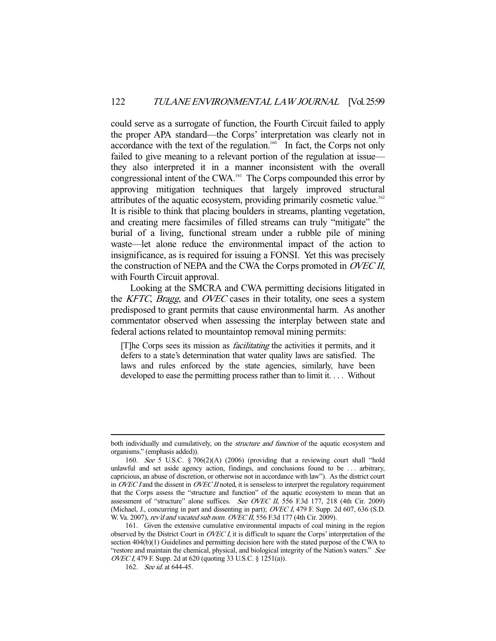could serve as a surrogate of function, the Fourth Circuit failed to apply the proper APA standard—the Corps' interpretation was clearly not in accordance with the text of the regulation.<sup>160</sup> In fact, the Corps not only failed to give meaning to a relevant portion of the regulation at issue they also interpreted it in a manner inconsistent with the overall congressional intent of the CWA.161 The Corps compounded this error by approving mitigation techniques that largely improved structural attributes of the aquatic ecosystem, providing primarily cosmetic value.<sup>162</sup> It is risible to think that placing boulders in streams, planting vegetation, and creating mere facsimiles of filled streams can truly "mitigate" the burial of a living, functional stream under a rubble pile of mining waste—let alone reduce the environmental impact of the action to insignificance, as is required for issuing a FONSI. Yet this was precisely the construction of NEPA and the CWA the Corps promoted in *OVEC II*, with Fourth Circuit approval.

 Looking at the SMCRA and CWA permitting decisions litigated in the *KFTC*, *Bragg*, and *OVEC* cases in their totality, one sees a system predisposed to grant permits that cause environmental harm. As another commentator observed when assessing the interplay between state and federal actions related to mountaintop removal mining permits:

[T]he Corps sees its mission as facilitating the activities it permits, and it defers to a state's determination that water quality laws are satisfied. The laws and rules enforced by the state agencies, similarly, have been developed to ease the permitting process rather than to limit it. . . . Without

both individually and cumulatively, on the *structure and function* of the aquatic ecosystem and organisms." (emphasis added)).

 <sup>160.</sup> See 5 U.S.C. § 706(2)(A) (2006) (providing that a reviewing court shall "hold unlawful and set aside agency action, findings, and conclusions found to be . . . arbitrary, capricious, an abuse of discretion, or otherwise not in accordance with law"). As the district court in  $OVEC$  I and the dissent in  $OVEC$  II noted, it is senseless to interpret the regulatory requirement that the Corps assess the "structure and function" of the aquatic ecosystem to mean that an assessment of "structure" alone suffices. See OVEC II, 556 F.3d 177, 218 (4th Cir. 2009) (Michael, J., concurring in part and dissenting in part); OVEC I, 479 F. Supp. 2d 607, 636 (S.D. W. Va. 2007), rev'd and vacated sub nom. OVEC II, 556 F.3d 177 (4th Cir. 2009).

 <sup>161.</sup> Given the extensive cumulative environmental impacts of coal mining in the region observed by the District Court in  $\overline{OVEC}I$ , it is difficult to square the Corps' interpretation of the section 404(b)(1) Guidelines and permitting decision here with the stated purpose of the CWA to "restore and maintain the chemical, physical, and biological integrity of the Nation's waters." See OVEC I, 479 F. Supp. 2d at 620 (quoting 33 U.S.C. § 1251(a)).

<sup>162.</sup> *See id.* at 644-45.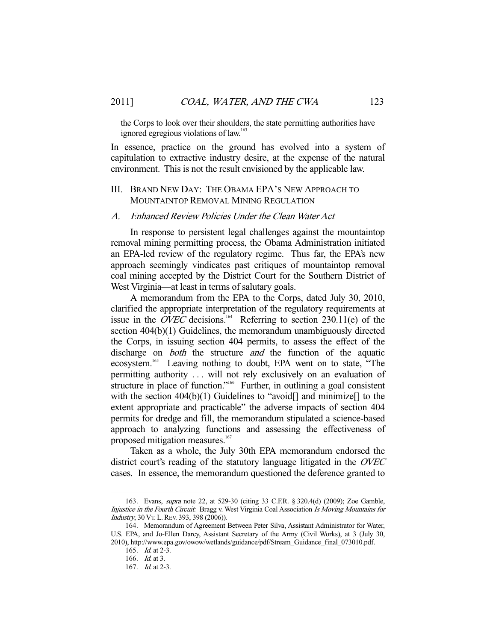the Corps to look over their shoulders, the state permitting authorities have ignored egregious violations of law.<sup>163</sup>

In essence, practice on the ground has evolved into a system of capitulation to extractive industry desire, at the expense of the natural environment. This is not the result envisioned by the applicable law.

# III. BRAND NEW DAY: THE OBAMA EPA'S NEW APPROACH TO MOUNTAINTOP REMOVAL MINING REGULATION

#### A. Enhanced Review Policies Under the Clean Water Act

 In response to persistent legal challenges against the mountaintop removal mining permitting process, the Obama Administration initiated an EPA-led review of the regulatory regime. Thus far, the EPA's new approach seemingly vindicates past critiques of mountaintop removal coal mining accepted by the District Court for the Southern District of West Virginia—at least in terms of salutary goals.

 A memorandum from the EPA to the Corps, dated July 30, 2010, clarified the appropriate interpretation of the regulatory requirements at issue in the OVEC decisions.<sup>164</sup> Referring to section 230.11(e) of the section 404(b)(1) Guidelines, the memorandum unambiguously directed the Corps, in issuing section 404 permits, to assess the effect of the discharge on *both* the structure *and* the function of the aquatic ecosystem.<sup>165</sup> Leaving nothing to doubt, EPA went on to state, "The permitting authority . . . will not rely exclusively on an evaluation of structure in place of function."<sup>166</sup> Further, in outlining a goal consistent with the section  $404(b)(1)$  Guidelines to "avoid<sup>[]</sup> and minimize<sup>[]</sup> to the extent appropriate and practicable" the adverse impacts of section 404 permits for dredge and fill, the memorandum stipulated a science-based approach to analyzing functions and assessing the effectiveness of proposed mitigation measures.<sup>167</sup>

 Taken as a whole, the July 30th EPA memorandum endorsed the district court's reading of the statutory language litigated in the OVEC cases. In essence, the memorandum questioned the deference granted to

 <sup>163.</sup> Evans, supra note 22, at 529-30 (citing 33 C.F.R. § 320.4(d) (2009); Zoe Gamble, Injustice in the Fourth Circuit: Bragg v. West Virginia Coal Association Is Moving Mountains for Industry, 30 VT. L.REV. 393, 398 (2006)).

 <sup>164.</sup> Memorandum of Agreement Between Peter Silva, Assistant Administrator for Water, U.S. EPA, and Jo-Ellen Darcy, Assistant Secretary of the Army (Civil Works), at 3 (July 30, 2010), http://www.epa.gov/owow/wetlands/guidance/pdf/Stream\_Guidance\_final\_073010.pdf.

<sup>165.</sup> *Id.* at 2-3.

 <sup>166.</sup> Id. at 3.

 <sup>167.</sup> Id. at 2-3.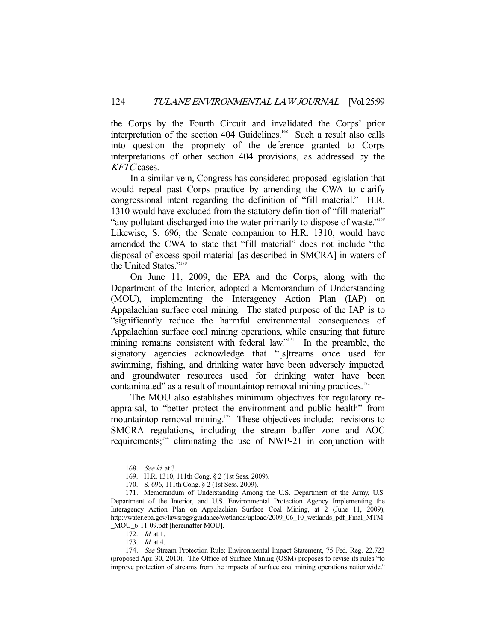the Corps by the Fourth Circuit and invalidated the Corps' prior interpretation of the section 404 Guidelines.<sup>168</sup> Such a result also calls into question the propriety of the deference granted to Corps interpretations of other section 404 provisions, as addressed by the KFTC cases.

 In a similar vein, Congress has considered proposed legislation that would repeal past Corps practice by amending the CWA to clarify congressional intent regarding the definition of "fill material." H.R. 1310 would have excluded from the statutory definition of "fill material" "any pollutant discharged into the water primarily to dispose of waste."<sup>169</sup> Likewise, S. 696, the Senate companion to H.R. 1310, would have amended the CWA to state that "fill material" does not include "the disposal of excess spoil material [as described in SMCRA] in waters of the United States."<sup>170</sup>

 On June 11, 2009, the EPA and the Corps, along with the Department of the Interior, adopted a Memorandum of Understanding (MOU), implementing the Interagency Action Plan (IAP) on Appalachian surface coal mining. The stated purpose of the IAP is to "significantly reduce the harmful environmental consequences of Appalachian surface coal mining operations, while ensuring that future mining remains consistent with federal law."<sup>171</sup> In the preamble, the signatory agencies acknowledge that "[s]treams once used for swimming, fishing, and drinking water have been adversely impacted, and groundwater resources used for drinking water have been contaminated" as a result of mountaintop removal mining practices.<sup>172</sup>

 The MOU also establishes minimum objectives for regulatory reappraisal, to "better protect the environment and public health" from mountaintop removal mining.<sup>173</sup> These objectives include: revisions to SMCRA regulations, including the stream buffer zone and AOC requirements; $174}$  eliminating the use of NWP-21 in conjunction with

<sup>168.</sup> *See id.* at 3.

 <sup>169.</sup> H.R. 1310, 111th Cong. § 2 (1st Sess. 2009).

 <sup>170.</sup> S. 696, 111th Cong. § 2 (1st Sess. 2009).

 <sup>171.</sup> Memorandum of Understanding Among the U.S. Department of the Army, U.S. Department of the Interior, and U.S. Environmental Protection Agency Implementing the Interagency Action Plan on Appalachian Surface Coal Mining, at 2 (June 11, 2009), http://water.epa.gov/lawsregs/guidance/wetlands/upload/2009\_06\_10\_wetlands\_pdf\_Final\_MTM \_MOU\_6-11-09.pdf [hereinafter MOU].

<sup>172.</sup> *Id.* at 1.

 <sup>173.</sup> Id. at 4.

 <sup>174.</sup> See Stream Protection Rule; Environmental Impact Statement, 75 Fed. Reg. 22,723 (proposed Apr. 30, 2010). The Office of Surface Mining (OSM) proposes to revise its rules "to improve protection of streams from the impacts of surface coal mining operations nationwide."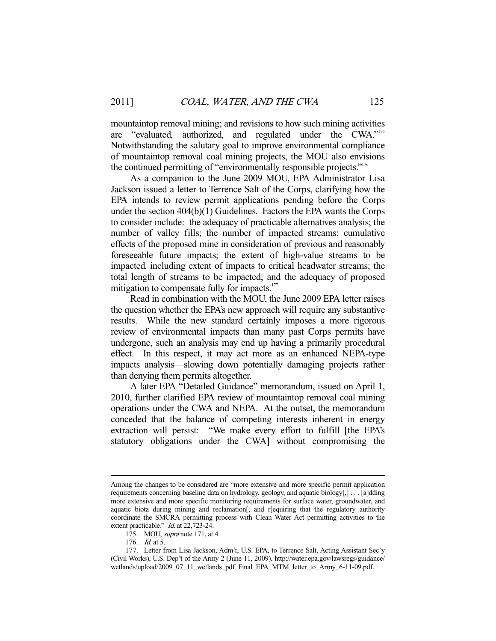mountaintop removal mining; and revisions to how such mining activities are "evaluated, authorized, and regulated under the CWA."<sup>175</sup> Notwithstanding the salutary goal to improve environmental compliance of mountaintop removal coal mining projects, the MOU also envisions the continued permitting of "environmentally responsible projects."176

 As a companion to the June 2009 MOU, EPA Administrator Lisa Jackson issued a letter to Terrence Salt of the Corps, clarifying how the EPA intends to review permit applications pending before the Corps under the section 404(b)(1) Guidelines. Factors the EPA wants the Corps to consider include: the adequacy of practicable alternatives analysis; the number of valley fills; the number of impacted streams; cumulative effects of the proposed mine in consideration of previous and reasonably foreseeable future impacts; the extent of high-value streams to be impacted, including extent of impacts to critical headwater streams; the total length of streams to be impacted; and the adequacy of proposed mitigation to compensate fully for impacts. $177$ 

 Read in combination with the MOU, the June 2009 EPA letter raises the question whether the EPA's new approach will require any substantive results. While the new standard certainly imposes a more rigorous review of environmental impacts than many past Corps permits have undergone, such an analysis may end up having a primarily procedural effect. In this respect, it may act more as an enhanced NEPA-type impacts analysis—slowing down potentially damaging projects rather than denying them permits altogether.

 A later EPA "Detailed Guidance" memorandum, issued on April 1, 2010, further clarified EPA review of mountaintop removal coal mining operations under the CWA and NEPA. At the outset, the memorandum conceded that the balance of competing interests inherent in energy extraction will persist: "We make every effort to fulfill [the EPA's statutory obligations under the CWA] without compromising the

Among the changes to be considered are "more extensive and more specific permit application requirements concerning baseline data on hydrology, geology, and aquatic biology[,] . . . [a]dding more extensive and more specific monitoring requirements for surface water, groundwater, and aquatic biota during mining and reclamation[, and r]equiring that the regulatory authority coordinate the SMCRA permitting process with Clean Water Act permitting activities to the extent practicable." *Id.* at 22,723-24.

 <sup>175.</sup> MOU, supra note 171, at 4.

 <sup>176.</sup> Id. at 5.

 <sup>177.</sup> Letter from Lisa Jackson, Adm'r, U.S. EPA, to Terrence Salt, Acting Assistant Sec'y (Civil Works), U.S. Dep't of the Army 2 (June 11, 2009), http://water.epa.gov/lawsregs/guidance/ wetlands/upload/2009\_07\_11\_wetlands\_pdf\_Final\_EPA\_MTM\_letter\_to\_Army\_6-11-09.pdf.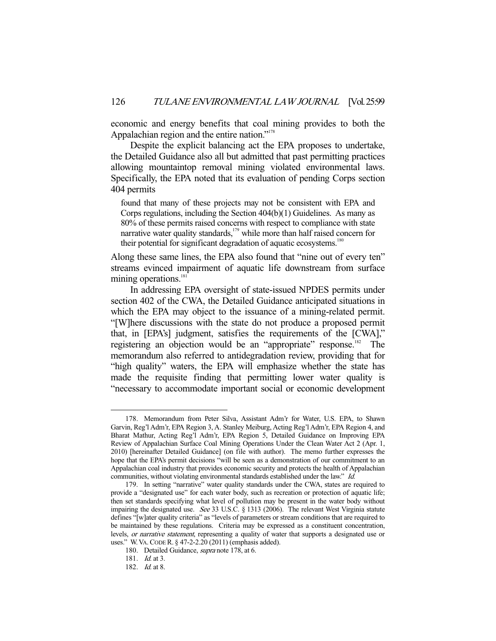economic and energy benefits that coal mining provides to both the Appalachian region and the entire nation."<sup>178</sup>

 Despite the explicit balancing act the EPA proposes to undertake, the Detailed Guidance also all but admitted that past permitting practices allowing mountaintop removal mining violated environmental laws. Specifically, the EPA noted that its evaluation of pending Corps section 404 permits

found that many of these projects may not be consistent with EPA and Corps regulations, including the Section 404(b)(1) Guidelines. As many as 80% of these permits raised concerns with respect to compliance with state narrative water quality standards, $179$  while more than half raised concern for their potential for significant degradation of aquatic ecosystems.<sup>180</sup>

Along these same lines, the EPA also found that "nine out of every ten" streams evinced impairment of aquatic life downstream from surface mining operations. $181$ 

 In addressing EPA oversight of state-issued NPDES permits under section 402 of the CWA, the Detailed Guidance anticipated situations in which the EPA may object to the issuance of a mining-related permit. "[W]here discussions with the state do not produce a proposed permit that, in [EPA's] judgment, satisfies the requirements of the [CWA]," registering an objection would be an "appropriate" response.<sup>182</sup> The memorandum also referred to antidegradation review, providing that for "high quality" waters, the EPA will emphasize whether the state has made the requisite finding that permitting lower water quality is "necessary to accommodate important social or economic development

 <sup>178.</sup> Memorandum from Peter Silva, Assistant Adm'r for Water, U.S. EPA, to Shawn Garvin, Reg'l Adm'r, EPA Region 3, A. Stanley Meiburg, Acting Reg'l Adm'r, EPA Region 4, and Bharat Mathur, Acting Reg'l Adm'r, EPA Region 5, Detailed Guidance on Improving EPA Review of Appalachian Surface Coal Mining Operations Under the Clean Water Act 2 (Apr. 1, 2010) [hereinafter Detailed Guidance] (on file with author). The memo further expresses the hope that the EPA's permit decisions "will be seen as a demonstration of our commitment to an Appalachian coal industry that provides economic security and protects the health of Appalachian communities, without violating environmental standards established under the law." Id.

 <sup>179.</sup> In setting "narrative" water quality standards under the CWA, states are required to provide a "designated use" for each water body, such as recreation or protection of aquatic life; then set standards specifying what level of pollution may be present in the water body without impairing the designated use. See 33 U.S.C. § 1313 (2006). The relevant West Virginia statute defines "[w]ater quality criteria" as "levels of parameters or stream conditions that are required to be maintained by these regulations. Criteria may be expressed as a constituent concentration, levels, or narrative statement, representing a quality of water that supports a designated use or uses." W.VA.CODE R. § 47-2-2.20 (2011) (emphasis added).

 <sup>180.</sup> Detailed Guidance, supra note 178, at 6.

 <sup>181.</sup> Id. at 3.

 <sup>182.</sup> Id. at 8.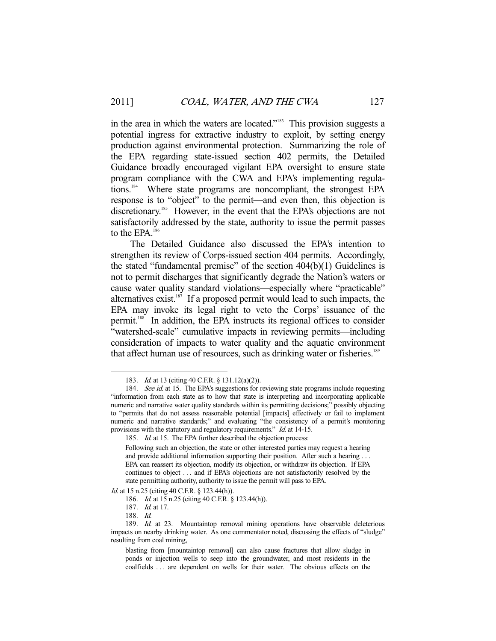in the area in which the waters are located."<sup>183</sup> This provision suggests a potential ingress for extractive industry to exploit, by setting energy production against environmental protection. Summarizing the role of the EPA regarding state-issued section 402 permits, the Detailed Guidance broadly encouraged vigilant EPA oversight to ensure state program compliance with the CWA and EPA's implementing regulations.184 Where state programs are noncompliant, the strongest EPA response is to "object" to the permit—and even then, this objection is discretionary.<sup>185</sup> However, in the event that the EPA's objections are not satisfactorily addressed by the state, authority to issue the permit passes to the EPA.<sup>186</sup>

 The Detailed Guidance also discussed the EPA's intention to strengthen its review of Corps-issued section 404 permits. Accordingly, the stated "fundamental premise" of the section 404(b)(1) Guidelines is not to permit discharges that significantly degrade the Nation's waters or cause water quality standard violations—especially where "practicable" alternatives exist. $187$  If a proposed permit would lead to such impacts, the EPA may invoke its legal right to veto the Corps' issuance of the permit.<sup>188</sup> In addition, the EPA instructs its regional offices to consider "watershed-scale" cumulative impacts in reviewing permits—including consideration of impacts to water quality and the aquatic environment that affect human use of resources, such as drinking water or fisheries.<sup>189</sup>

<sup>183.</sup> *Id.* at 13 (citing 40 C.F.R. § 131.12(a)(2)).

<sup>184.</sup> See id. at 15. The EPA's suggestions for reviewing state programs include requesting "information from each state as to how that state is interpreting and incorporating applicable numeric and narrative water quality standards within its permitting decisions;" possibly objecting to "permits that do not assess reasonable potential [impacts] effectively or fail to implement numeric and narrative standards;" and evaluating "the consistency of a permit's monitoring provisions with the statutory and regulatory requirements." Id. at 14-15.

<sup>185.</sup> *Id.* at 15. The EPA further described the objection process:

Following such an objection, the state or other interested parties may request a hearing and provide additional information supporting their position. After such a hearing . . . EPA can reassert its objection, modify its objection, or withdraw its objection. If EPA continues to object . . . and if EPA's objections are not satisfactorily resolved by the state permitting authority, authority to issue the permit will pass to EPA.

Id. at 15 n.25 (citing 40 C.F.R. § 123.44(h)).

 <sup>186.</sup> Id. at 15 n.25 (citing 40 C.F.R. § 123.44(h)).

 <sup>187.</sup> Id. at 17.

 <sup>188.</sup> Id.

<sup>189.</sup> Id. at 23. Mountaintop removal mining operations have observable deleterious impacts on nearby drinking water. As one commentator noted, discussing the effects of "sludge" resulting from coal mining,

blasting from [mountaintop removal] can also cause fractures that allow sludge in ponds or injection wells to seep into the groundwater, and most residents in the coalfields . . . are dependent on wells for their water. The obvious effects on the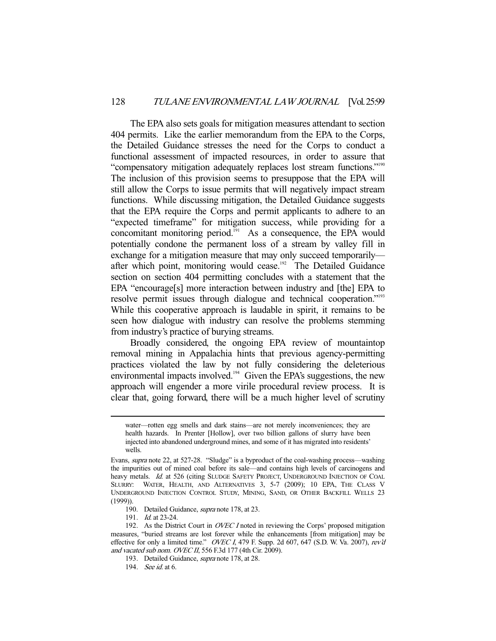The EPA also sets goals for mitigation measures attendant to section 404 permits. Like the earlier memorandum from the EPA to the Corps, the Detailed Guidance stresses the need for the Corps to conduct a functional assessment of impacted resources, in order to assure that "compensatory mitigation adequately replaces lost stream functions."<sup>190</sup> The inclusion of this provision seems to presuppose that the EPA will still allow the Corps to issue permits that will negatively impact stream functions. While discussing mitigation, the Detailed Guidance suggests that the EPA require the Corps and permit applicants to adhere to an "expected timeframe" for mitigation success, while providing for a concomitant monitoring period.<sup>191</sup> As a consequence, the EPA would potentially condone the permanent loss of a stream by valley fill in exchange for a mitigation measure that may only succeed temporarily after which point, monitoring would cease.<sup>192</sup> The Detailed Guidance section on section 404 permitting concludes with a statement that the EPA "encourage[s] more interaction between industry and [the] EPA to resolve permit issues through dialogue and technical cooperation."<sup>193</sup> While this cooperative approach is laudable in spirit, it remains to be seen how dialogue with industry can resolve the problems stemming from industry's practice of burying streams.

 Broadly considered, the ongoing EPA review of mountaintop removal mining in Appalachia hints that previous agency-permitting practices violated the law by not fully considering the deleterious environmental impacts involved.<sup>194</sup> Given the EPA's suggestions, the new approach will engender a more virile procedural review process. It is clear that, going forward, there will be a much higher level of scrutiny

190. Detailed Guidance, *supra* note 178, at 23.

191. Id. at 23-24.

water—rotten egg smells and dark stains—are not merely inconveniences; they are health hazards. In Prenter [Hollow], over two billion gallons of slurry have been injected into abandoned underground mines, and some of it has migrated into residents' wells.

Evans, supra note 22, at 527-28. "Sludge" is a byproduct of the coal-washing process—washing the impurities out of mined coal before its sale—and contains high levels of carcinogens and heavy metals. Id. at 526 (citing SLUDGE SAFETY PROJECT, UNDERGROUND INJECTION OF COAL SLURRY: WATER, HEALTH, AND ALTERNATIVES 3, 5-7 (2009); 10 EPA, THE CLASS V UNDERGROUND INJECTION CONTROL STUDY, MINING, SAND, OR OTHER BACKFILL WELLS 23 (1999)).

<sup>192.</sup> As the District Court in *OVEC I* noted in reviewing the Corps' proposed mitigation measures, "buried streams are lost forever while the enhancements [from mitigation] may be effective for only a limited time." OVEC I, 479 F. Supp. 2d 607, 647 (S.D. W. Va. 2007), rev'd and vacated sub nom. OVEC II, 556 F.3d 177 (4th Cir. 2009).

 <sup>193.</sup> Detailed Guidance, supra note 178, at 28.

 <sup>194.</sup> See id. at 6.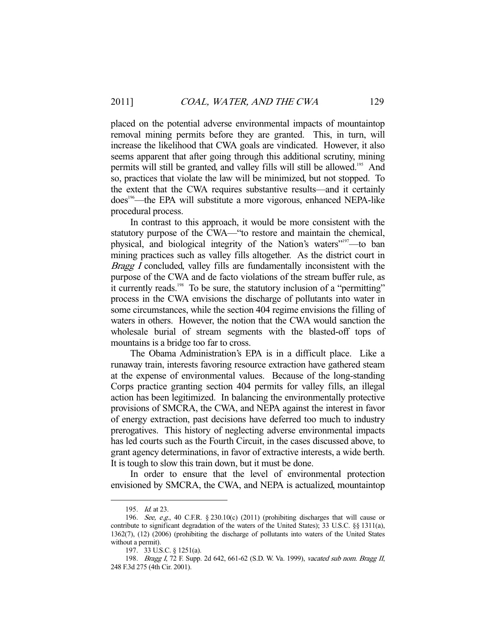placed on the potential adverse environmental impacts of mountaintop removal mining permits before they are granted. This, in turn, will increase the likelihood that CWA goals are vindicated. However, it also seems apparent that after going through this additional scrutiny, mining permits will still be granted, and valley fills will still be allowed.<sup>195</sup> And so, practices that violate the law will be minimized, but not stopped. To the extent that the CWA requires substantive results—and it certainly does<sup>196</sup>—the EPA will substitute a more vigorous, enhanced NEPA-like procedural process.

 In contrast to this approach, it would be more consistent with the statutory purpose of the CWA—"to restore and maintain the chemical, physical, and biological integrity of the Nation's waters"197—to ban mining practices such as valley fills altogether. As the district court in Bragg I concluded, valley fills are fundamentally inconsistent with the purpose of the CWA and de facto violations of the stream buffer rule, as it currently reads.<sup>198</sup> To be sure, the statutory inclusion of a "permitting" process in the CWA envisions the discharge of pollutants into water in some circumstances, while the section 404 regime envisions the filling of waters in others. However, the notion that the CWA would sanction the wholesale burial of stream segments with the blasted-off tops of mountains is a bridge too far to cross.

 The Obama Administration's EPA is in a difficult place. Like a runaway train, interests favoring resource extraction have gathered steam at the expense of environmental values. Because of the long-standing Corps practice granting section 404 permits for valley fills, an illegal action has been legitimized. In balancing the environmentally protective provisions of SMCRA, the CWA, and NEPA against the interest in favor of energy extraction, past decisions have deferred too much to industry prerogatives. This history of neglecting adverse environmental impacts has led courts such as the Fourth Circuit, in the cases discussed above, to grant agency determinations, in favor of extractive interests, a wide berth. It is tough to slow this train down, but it must be done.

 In order to ensure that the level of environmental protection envisioned by SMCRA, the CWA, and NEPA is actualized, mountaintop

 <sup>195.</sup> Id. at 23.

<sup>196.</sup> See, e.g., 40 C.F.R. § 230.10(c) (2011) (prohibiting discharges that will cause or contribute to significant degradation of the waters of the United States); 33 U.S.C. §§ 1311(a), 1362(7), (12) (2006) (prohibiting the discharge of pollutants into waters of the United States without a permit).

 <sup>197. 33</sup> U.S.C. § 1251(a).

 <sup>198.</sup> Bragg I, 72 F. Supp. 2d 642, 661-62 (S.D. W. Va. 1999), vacated sub nom. Bragg II, 248 F.3d 275 (4th Cir. 2001).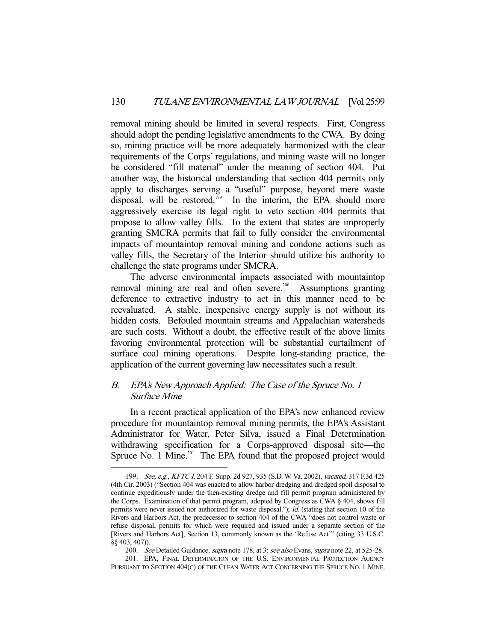removal mining should be limited in several respects. First, Congress should adopt the pending legislative amendments to the CWA. By doing so, mining practice will be more adequately harmonized with the clear requirements of the Corps' regulations, and mining waste will no longer be considered "fill material" under the meaning of section 404. Put another way, the historical understanding that section 404 permits only apply to discharges serving a "useful" purpose, beyond mere waste disposal, will be restored.<sup>199</sup> In the interim, the EPA should more aggressively exercise its legal right to veto section 404 permits that propose to allow valley fills. To the extent that states are improperly granting SMCRA permits that fail to fully consider the environmental impacts of mountaintop removal mining and condone actions such as valley fills, the Secretary of the Interior should utilize his authority to challenge the state programs under SMCRA.

 The adverse environmental impacts associated with mountaintop removal mining are real and often severe.<sup>200</sup> Assumptions granting deference to extractive industry to act in this manner need to be reevaluated. A stable, inexpensive energy supply is not without its hidden costs. Befouled mountain streams and Appalachian watersheds are such costs. Without a doubt, the effective result of the above limits favoring environmental protection will be substantial curtailment of surface coal mining operations. Despite long-standing practice, the application of the current governing law necessitates such a result.

# B. EPA's New Approach Applied: The Case of the Spruce No. 1 Surface Mine

-

 In a recent practical application of the EPA's new enhanced review procedure for mountaintop removal mining permits, the EPA's Assistant Administrator for Water, Peter Silva, issued a Final Determination withdrawing specification for a Corps-approved disposal site—the Spruce No. 1 Mine.<sup>201</sup> The EPA found that the proposed project would

<sup>199.</sup> See, e.g., KFTC I, 204 F. Supp. 2d 927, 935 (S.D. W. Va. 2002), vacated, 317 F.3d 425 (4th Cir. 2003) ("Section 404 was enacted to allow harbor dredging and dredged spoil disposal to continue expeditiously under the then-existing dredge and fill permit program administered by the Corps. Examination of that permit program, adopted by Congress as CWA § 404, shows fill permits were never issued nor authorized for waste disposal."); id. (stating that section 10 of the Rivers and Harbors Act, the predecessor to section 404 of the CWA "does not control waste or refuse disposal, permits for which were required and issued under a separate section of the [Rivers and Harbors Act], Section 13, commonly known as the 'Refuse Act'" (citing 33 U.S.C. §§ 403, 407)).

<sup>200.</sup> See Detailed Guidance, *supra* note 178, at 3; see also Evans, *supra* note 22, at 525-28.

 <sup>201.</sup> EPA, FINAL DETERMINATION OF THE U.S. ENVIRONMENTAL PROTECTION AGENCY PURSUANT TO SECTION 404(C) OF THE CLEAN WATER ACT CONCERNING THE SPRUCE NO. 1 MINE,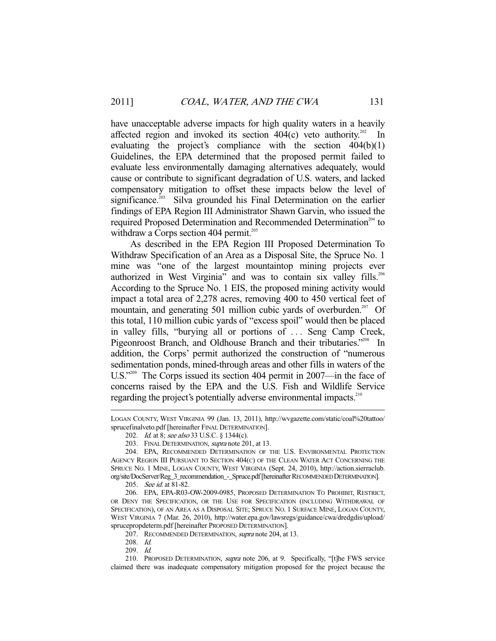have unacceptable adverse impacts for high quality waters in a heavily affected region and invoked its section  $404(c)$  veto authority.<sup>202</sup> In evaluating the project's compliance with the section 404(b)(1) Guidelines, the EPA determined that the proposed permit failed to evaluate less environmentally damaging alternatives adequately, would cause or contribute to significant degradation of U.S. waters, and lacked compensatory mitigation to offset these impacts below the level of significance.<sup>203</sup> Silva grounded his Final Determination on the earlier findings of EPA Region III Administrator Shawn Garvin, who issued the required Proposed Determination and Recommended Determination<sup>204</sup> to withdraw a Corps section 404 permit. $205$ 

 As described in the EPA Region III Proposed Determination To Withdraw Specification of an Area as a Disposal Site, the Spruce No. 1 mine was "one of the largest mountaintop mining projects ever authorized in West Virginia" and was to contain six valley fills.<sup>206</sup> According to the Spruce No. 1 EIS, the proposed mining activity would impact a total area of 2,278 acres, removing 400 to 450 vertical feet of mountain, and generating 501 million cubic yards of overburden.<sup>207</sup> Of this total, 110 million cubic yards of "excess spoil" would then be placed in valley fills, "burying all or portions of . . . Seng Camp Creek, Pigeonroost Branch, and Oldhouse Branch and their tributaries."<sup>208</sup> In addition, the Corps' permit authorized the construction of "numerous sedimentation ponds, mined-through areas and other fills in waters of the U.S."<sup>209</sup> The Corps issued its section 404 permit in 2007—in the face of concerns raised by the EPA and the U.S. Fish and Wildlife Service regarding the project's potentially adverse environmental impacts.<sup>210</sup>

LOGAN COUNTY, WEST VIRGINIA 99 (Jan. 13, 2011), http://wvgazette.com/static/coal%20tattoo/ sprucefinalveto.pdf [hereinafter FINAL DETERMINATION].

<sup>202.</sup> *Id.* at 8; see also 33 U.S.C. § 1344(c).

<sup>203.</sup> FINAL DETERMINATION, *supra* note 201, at 13.

 <sup>204.</sup> EPA, RECOMMENDED DETERMINATION OF THE U.S. ENVIRONMENTAL PROTECTION AGENCY REGION III PURSUANT TO SECTION 404(C) OF THE CLEAN WATER ACT CONCERNING THE SPRUCE NO. 1 MINE, LOGAN COUNTY, WEST VIRGINIA (Sept. 24, 2010), http://action.sierraclub. org/site/DocServer/Reg\_3\_recommendation\_-\_Spruce.pdf [hereinafter RECOMMENDED DETERMINATION].

<sup>205.</sup> See id. at 81-82.

 <sup>206.</sup> EPA, EPA-R03-OW-2009-0985, PROPOSED DETERMINATION TO PROHIBIT, RESTRICT, OR DENY THE SPECIFICATION, OR THE USE FOR SPECIFICATION (INCLUDING WITHDRAWAL OF SPECIFICATION), OF AN AREA AS A DISPOSAL SITE; SPRUCE NO. 1 SURFACE MINE, LOGAN COUNTY, WEST VIRGINIA 7 (Mar. 26, 2010), http://water.epa.gov/lawsregs/guidance/cwa/dredgdis/upload/ sprucepropdeterm.pdf [hereinafter PROPOSED DETERMINATION].

<sup>207.</sup> RECOMMENDED DETERMINATION, *supra* note 204, at 13.

 <sup>208.</sup> Id.

 <sup>209.</sup> Id.

 <sup>210.</sup> PROPOSED DETERMINATION, supra note 206, at 9. Specifically, "[t]he FWS service claimed there was inadequate compensatory mitigation proposed for the project because the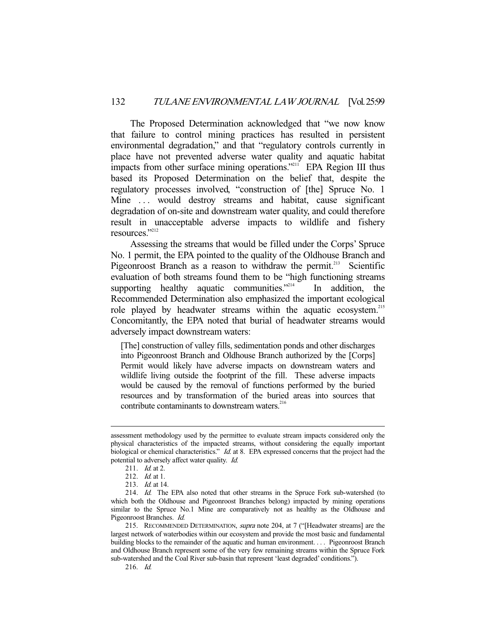The Proposed Determination acknowledged that "we now know that failure to control mining practices has resulted in persistent environmental degradation," and that "regulatory controls currently in place have not prevented adverse water quality and aquatic habitat impacts from other surface mining operations."<sup>211</sup> EPA Region III thus based its Proposed Determination on the belief that, despite the regulatory processes involved, "construction of [the] Spruce No. 1 Mine ... would destroy streams and habitat, cause significant degradation of on-site and downstream water quality, and could therefore result in unacceptable adverse impacts to wildlife and fishery resources."212

 Assessing the streams that would be filled under the Corps' Spruce No. 1 permit, the EPA pointed to the quality of the Oldhouse Branch and Pigeonroost Branch as a reason to withdraw the permit.<sup>213</sup> Scientific evaluation of both streams found them to be "high functioning streams supporting healthy aquatic communities.<sup> $2^{214}$ </sup> In addition, the Recommended Determination also emphasized the important ecological role played by headwater streams within the aquatic ecosystem.<sup>215</sup> Concomitantly, the EPA noted that burial of headwater streams would adversely impact downstream waters:

[The] construction of valley fills, sedimentation ponds and other discharges into Pigeonroost Branch and Oldhouse Branch authorized by the [Corps] Permit would likely have adverse impacts on downstream waters and wildlife living outside the footprint of the fill. These adverse impacts would be caused by the removal of functions performed by the buried resources and by transformation of the buried areas into sources that contribute contaminants to downstream waters.<sup>216</sup>

assessment methodology used by the permittee to evaluate stream impacts considered only the physical characteristics of the impacted streams, without considering the equally important biological or chemical characteristics."  $Id$  at 8. EPA expressed concerns that the project had the potential to adversely affect water quality. Id.

 <sup>211.</sup> Id. at 2.

<sup>212.</sup> *Id.* at 1.

<sup>213.</sup> *Id.* at 14.

<sup>214.</sup> Id. The EPA also noted that other streams in the Spruce Fork sub-watershed (to which both the Oldhouse and Pigeonroost Branches belong) impacted by mining operations similar to the Spruce No.1 Mine are comparatively not as healthy as the Oldhouse and Pigeonroost Branches. Id.

<sup>215.</sup> RECOMMENDED DETERMINATION, *supra* note 204, at 7 ("[Headwater streams] are the largest network of waterbodies within our ecosystem and provide the most basic and fundamental building blocks to the remainder of the aquatic and human environment. . . . Pigeonroost Branch and Oldhouse Branch represent some of the very few remaining streams within the Spruce Fork sub-watershed and the Coal River sub-basin that represent 'least degraded' conditions.").

 <sup>216.</sup> Id.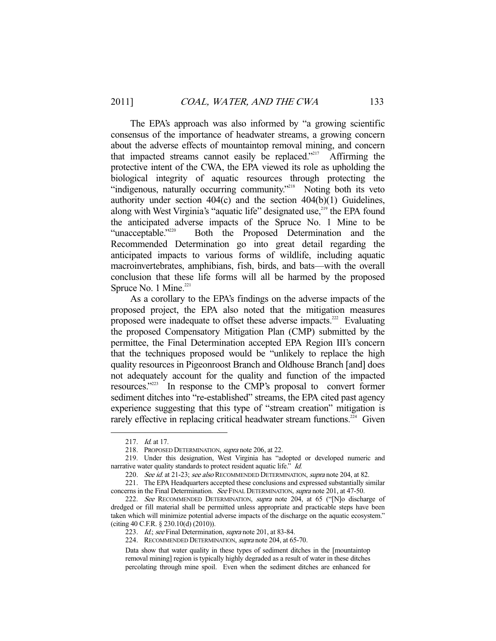The EPA's approach was also informed by "a growing scientific consensus of the importance of headwater streams, a growing concern about the adverse effects of mountaintop removal mining, and concern that impacted streams cannot easily be replaced."<sup>217</sup> Affirming the protective intent of the CWA, the EPA viewed its role as upholding the biological integrity of aquatic resources through protecting the "indigenous, naturally occurring community."<sup>218</sup> Noting both its veto authority under section 404(c) and the section 404(b)(1) Guidelines, along with West Virginia's "aquatic life" designated use,<sup>219</sup> the EPA found the anticipated adverse impacts of the Spruce No. 1 Mine to be "unacceptable."220 Both the Proposed Determination and the Recommended Determination go into great detail regarding the anticipated impacts to various forms of wildlife, including aquatic macroinvertebrates, amphibians, fish, birds, and bats—with the overall conclusion that these life forms will all be harmed by the proposed Spruce No. 1 Mine. $221$ 

 As a corollary to the EPA's findings on the adverse impacts of the proposed project, the EPA also noted that the mitigation measures proposed were inadequate to offset these adverse impacts.<sup>222</sup> Evaluating the proposed Compensatory Mitigation Plan (CMP) submitted by the permittee, the Final Determination accepted EPA Region III's concern that the techniques proposed would be "unlikely to replace the high quality resources in Pigeonroost Branch and Oldhouse Branch [and] does not adequately account for the quality and function of the impacted resources."223 In response to the CMP's proposal to convert former sediment ditches into "re-established" streams, the EPA cited past agency experience suggesting that this type of "stream creation" mitigation is rarely effective in replacing critical headwater stream functions.<sup> $2\overline{2}4$ </sup> Given

<sup>217.</sup> *Id.* at 17.

 <sup>218.</sup> PROPOSED DETERMINATION, supra note 206, at 22.

 <sup>219.</sup> Under this designation, West Virginia has "adopted or developed numeric and narrative water quality standards to protect resident aquatic life." Id.

<sup>220.</sup> See id. at 21-23; see also RECOMMENDED DETERMINATION, supra note 204, at 82.

 <sup>221.</sup> The EPA Headquarters accepted these conclusions and expressed substantially similar concerns in the Final Determination. See FINAL DETERMINATION, supra note 201, at 47-50.

<sup>222.</sup> See RECOMMENDED DETERMINATION, supra note 204, at 65 ("[N]o discharge of dredged or fill material shall be permitted unless appropriate and practicable steps have been taken which will minimize potential adverse impacts of the discharge on the aquatic ecosystem." (citing 40 C.F.R. § 230.10(d) (2010)).

<sup>223.</sup> *Id.; see* Final Determination, *supra* note 201, at 83-84.

 <sup>224.</sup> RECOMMENDED DETERMINATION, supra note 204, at 65-70.

Data show that water quality in these types of sediment ditches in the [mountaintop removal mining] region is typically highly degraded as a result of water in these ditches percolating through mine spoil. Even when the sediment ditches are enhanced for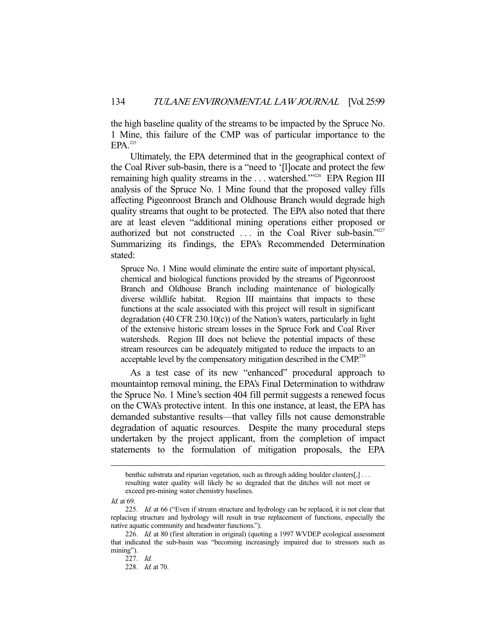the high baseline quality of the streams to be impacted by the Spruce No. 1 Mine, this failure of the CMP was of particular importance to the  $EPA$ <sup>225</sup>

 Ultimately, the EPA determined that in the geographical context of the Coal River sub-basin, there is a "need to '[l]ocate and protect the few remaining high quality streams in the  $\dots$  watershed."<sup>226</sup> EPA Region III analysis of the Spruce No. 1 Mine found that the proposed valley fills affecting Pigeonroost Branch and Oldhouse Branch would degrade high quality streams that ought to be protected. The EPA also noted that there are at least eleven "additional mining operations either proposed or authorized but not constructed ... in the Coal River sub-basin."<sup>227</sup> Summarizing its findings, the EPA's Recommended Determination stated:

Spruce No. 1 Mine would eliminate the entire suite of important physical, chemical and biological functions provided by the streams of Pigeonroost Branch and Oldhouse Branch including maintenance of biologically diverse wildlife habitat. Region III maintains that impacts to these functions at the scale associated with this project will result in significant degradation (40 CFR 230.10(c)) of the Nation's waters, particularly in light of the extensive historic stream losses in the Spruce Fork and Coal River watersheds. Region III does not believe the potential impacts of these stream resources can be adequately mitigated to reduce the impacts to an acceptable level by the compensatory mitigation described in the  $CMP<sup>228</sup>$ 

As a test case of its new "enhanced" procedural approach to mountaintop removal mining, the EPA's Final Determination to withdraw the Spruce No. 1 Mine's section 404 fill permit suggests a renewed focus on the CWA's protective intent. In this one instance, at least, the EPA has demanded substantive results—that valley fills not cause demonstrable degradation of aquatic resources. Despite the many procedural steps undertaken by the project applicant, from the completion of impact statements to the formulation of mitigation proposals, the EPA

benthic substrata and riparian vegetation, such as through adding boulder clusters[,] . . . resulting water quality will likely be so degraded that the ditches will not meet or exceed pre-mining water chemistry baselines.

Id. at 69.

<sup>225.</sup> Id. at 66 ("Even if stream structure and hydrology can be replaced, it is not clear that replacing structure and hydrology will result in true replacement of functions, especially the native aquatic community and headwater functions.").

<sup>226.</sup> Id. at 80 (first alteration in original) (quoting a 1997 WVDEP ecological assessment that indicated the sub-basin was "becoming increasingly impaired due to stressors such as mining").

 <sup>227.</sup> Id.

 <sup>228.</sup> Id. at 70.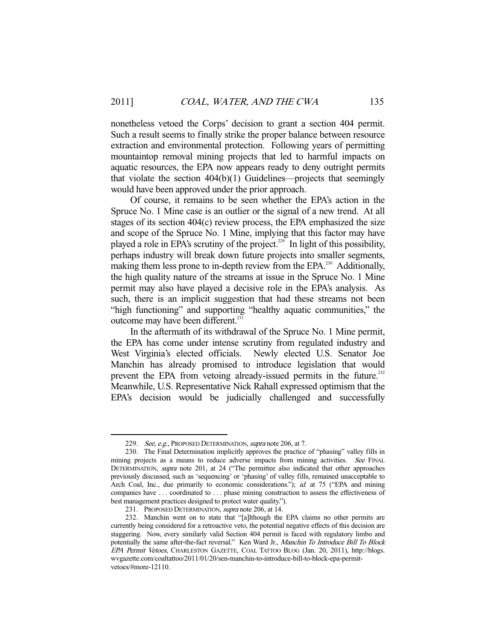nonetheless vetoed the Corps' decision to grant a section 404 permit. Such a result seems to finally strike the proper balance between resource extraction and environmental protection. Following years of permitting mountaintop removal mining projects that led to harmful impacts on aquatic resources, the EPA now appears ready to deny outright permits that violate the section 404(b)(1) Guidelines—projects that seemingly would have been approved under the prior approach.

 Of course, it remains to be seen whether the EPA's action in the Spruce No. 1 Mine case is an outlier or the signal of a new trend. At all stages of its section 404(c) review process, the EPA emphasized the size and scope of the Spruce No. 1 Mine, implying that this factor may have played a role in EPA's scrutiny of the project.<sup>229</sup> In light of this possibility, perhaps industry will break down future projects into smaller segments, making them less prone to in-depth review from the EPA.<sup>230</sup> Additionally, the high quality nature of the streams at issue in the Spruce No. 1 Mine permit may also have played a decisive role in the EPA's analysis. As such, there is an implicit suggestion that had these streams not been "high functioning" and supporting "healthy aquatic communities," the outcome may have been different.<sup>231</sup>

 In the aftermath of its withdrawal of the Spruce No. 1 Mine permit, the EPA has come under intense scrutiny from regulated industry and West Virginia's elected officials. Newly elected U.S. Senator Joe Manchin has already promised to introduce legislation that would prevent the EPA from vetoing already-issued permits in the future.<sup>232</sup> Meanwhile, U.S. Representative Nick Rahall expressed optimism that the EPA's decision would be judicially challenged and successfully

<sup>229.</sup> See, e.g., PROPOSED DETERMINATION, supra note 206, at 7.

 <sup>230.</sup> The Final Determination implicitly approves the practice of "phasing" valley fills in mining projects as a means to reduce adverse impacts from mining activities. See FINAL DETERMINATION, supra note 201, at 24 ("The permittee also indicated that other approaches previously discussed, such as 'sequencing' or 'phasing' of valley fills, remained unacceptable to Arch Coal, Inc., due primarily to economic considerations."); id. at 75 ("EPA and mining companies have . . . coordinated to . . . phase mining construction to assess the effectiveness of best management practices designed to protect water quality.").

 <sup>231.</sup> PROPOSED DETERMINATION, supra note 206, at 14.

 <sup>232.</sup> Manchin went on to state that "[a]lthough the EPA claims no other permits are currently being considered for a retroactive veto, the potential negative effects of this decision are staggering. Now, every similarly valid Section 404 permit is faced with regulatory limbo and potentially the same after-the-fact reversal." Ken Ward Jr., Manchin To Introduce Bill To Block EPA Permit Vetoes, CHARLESTON GAZETTE, COAL TATTOO BLOG (Jan. 20, 2011), http://blogs. wvgazette.com/coaltattoo/2011/01/20/sen-manchin-to-introduce-bill-to-block-epa-permitvetoes/#more-12110.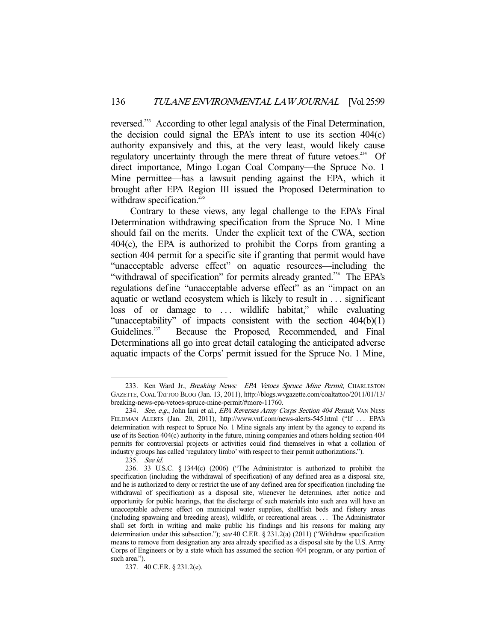reversed.233 According to other legal analysis of the Final Determination, the decision could signal the EPA's intent to use its section 404(c) authority expansively and this, at the very least, would likely cause regulatory uncertainty through the mere threat of future vetoes.<sup>234</sup> Of direct importance, Mingo Logan Coal Company—the Spruce No. 1 Mine permittee—has a lawsuit pending against the EPA, which it brought after EPA Region III issued the Proposed Determination to withdraw specification.<sup>235</sup>

 Contrary to these views, any legal challenge to the EPA's Final Determination withdrawing specification from the Spruce No. 1 Mine should fail on the merits. Under the explicit text of the CWA, section 404(c), the EPA is authorized to prohibit the Corps from granting a section 404 permit for a specific site if granting that permit would have "unacceptable adverse effect" on aquatic resources—including the "withdrawal of specification" for permits already granted.<sup>236</sup> The EPA's regulations define "unacceptable adverse effect" as an "impact on an aquatic or wetland ecosystem which is likely to result in . . . significant loss of or damage to ... wildlife habitat," while evaluating "unacceptability" of impacts consistent with the section 404(b)(1) Guidelines.<sup>237</sup> Because the Proposed, Recommended, and Final Determinations all go into great detail cataloging the anticipated adverse aquatic impacts of the Corps' permit issued for the Spruce No. 1 Mine,

<sup>233.</sup> Ken Ward Jr., Breaking News: EPA Vetoes Spruce Mine Permit, CHARLESTON GAZETTE, COAL TATTOO BLOG (Jan. 13, 2011), http://blogs.wvgazette.com/coaltattoo/2011/01/13/ breaking-news-epa-vetoes-spruce-mine-permit/#more-11760.

<sup>234.</sup> See, e.g., John Iani et al., EPA Reverses Army Corps Section 404 Permit, VAN NESS FELDMAN ALERTS (Jan. 20, 2011), http://www.vnf.com/news-alerts-545.html ("If . . . EPA's determination with respect to Spruce No. 1 Mine signals any intent by the agency to expand its use of its Section 404(c) authority in the future, mining companies and others holding section 404 permits for controversial projects or activities could find themselves in what a collation of industry groups has called 'regulatory limbo' with respect to their permit authorizations.").

 <sup>235.</sup> See id.

 <sup>236. 33</sup> U.S.C. § 1344(c) (2006) ("The Administrator is authorized to prohibit the specification (including the withdrawal of specification) of any defined area as a disposal site, and he is authorized to deny or restrict the use of any defined area for specification (including the withdrawal of specification) as a disposal site, whenever he determines, after notice and opportunity for public hearings, that the discharge of such materials into such area will have an unacceptable adverse effect on municipal water supplies, shellfish beds and fishery areas (including spawning and breeding areas), wildlife, or recreational areas. . . . The Administrator shall set forth in writing and make public his findings and his reasons for making any determination under this subsection."); see 40 C.F.R. § 231.2(a) (2011) ("Withdraw specification means to remove from designation any area already specified as a disposal site by the U.S. Army Corps of Engineers or by a state which has assumed the section 404 program, or any portion of such area.").

 <sup>237. 40</sup> C.F.R. § 231.2(e).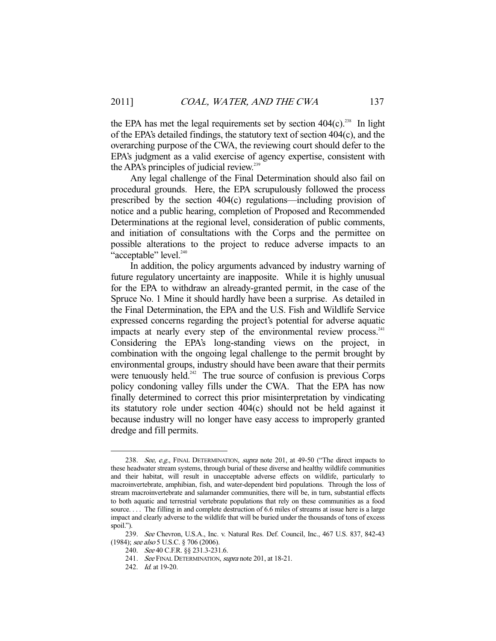the EPA has met the legal requirements set by section  $404(c)$ .<sup>238</sup> In light of the EPA's detailed findings, the statutory text of section 404(c), and the overarching purpose of the CWA, the reviewing court should defer to the EPA's judgment as a valid exercise of agency expertise, consistent with the APA's principles of judicial review.<sup>239</sup>

 Any legal challenge of the Final Determination should also fail on procedural grounds. Here, the EPA scrupulously followed the process prescribed by the section 404(c) regulations—including provision of notice and a public hearing, completion of Proposed and Recommended Determinations at the regional level, consideration of public comments, and initiation of consultations with the Corps and the permittee on possible alterations to the project to reduce adverse impacts to an "acceptable" level.<sup>240</sup>

 In addition, the policy arguments advanced by industry warning of future regulatory uncertainty are inapposite. While it is highly unusual for the EPA to withdraw an already-granted permit, in the case of the Spruce No. 1 Mine it should hardly have been a surprise. As detailed in the Final Determination, the EPA and the U.S. Fish and Wildlife Service expressed concerns regarding the project's potential for adverse aquatic impacts at nearly every step of the environmental review process. $241$ Considering the EPA's long-standing views on the project, in combination with the ongoing legal challenge to the permit brought by environmental groups, industry should have been aware that their permits were tenuously held.<sup>242</sup> The true source of confusion is previous Corps policy condoning valley fills under the CWA. That the EPA has now finally determined to correct this prior misinterpretation by vindicating its statutory role under section 404(c) should not be held against it because industry will no longer have easy access to improperly granted dredge and fill permits.

<sup>238.</sup> See, e.g., FINAL DETERMINATION, supra note 201, at 49-50 ("The direct impacts to these headwater stream systems, through burial of these diverse and healthy wildlife communities and their habitat, will result in unacceptable adverse effects on wildlife, particularly to macroinvertebrate, amphibian, fish, and water-dependent bird populations. Through the loss of stream macroinvertebrate and salamander communities, there will be, in turn, substantial effects to both aquatic and terrestrial vertebrate populations that rely on these communities as a food source. . . . The filling in and complete destruction of 6.6 miles of streams at issue here is a large impact and clearly adverse to the wildlife that will be buried under the thousands of tons of excess spoil.").

<sup>239.</sup> See Chevron, U.S.A., Inc. v. Natural Res. Def. Council, Inc., 467 U.S. 837, 842-43 (1984); see also 5 U.S.C. § 706 (2006).

 <sup>240.</sup> See 40 C.F.R. §§ 231.3-231.6.

<sup>241.</sup> See FINAL DETERMINATION, supra note 201, at 18-21.

<sup>242.</sup> *Id.* at 19-20.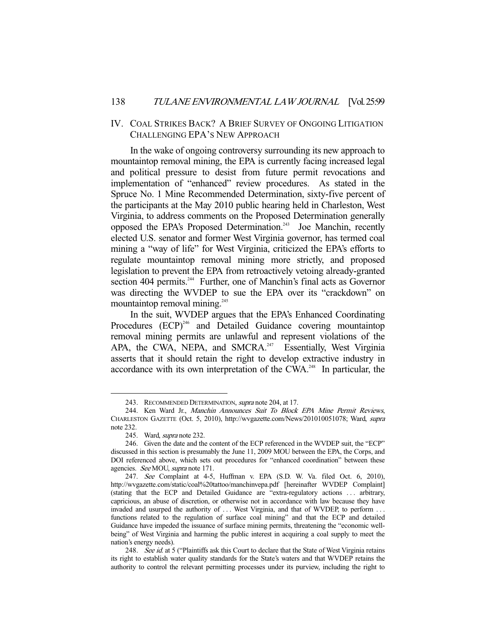# IV. COAL STRIKES BACK? A BRIEF SURVEY OF ONGOING LITIGATION CHALLENGING EPA'S NEW APPROACH

 In the wake of ongoing controversy surrounding its new approach to mountaintop removal mining, the EPA is currently facing increased legal and political pressure to desist from future permit revocations and implementation of "enhanced" review procedures. As stated in the Spruce No. 1 Mine Recommended Determination, sixty-five percent of the participants at the May 2010 public hearing held in Charleston, West Virginia, to address comments on the Proposed Determination generally opposed the EPA's Proposed Determination.243 Joe Manchin, recently elected U.S. senator and former West Virginia governor, has termed coal mining a "way of life" for West Virginia, criticized the EPA's efforts to regulate mountaintop removal mining more strictly, and proposed legislation to prevent the EPA from retroactively vetoing already-granted section 404 permits.<sup>244</sup> Further, one of Manchin's final acts as Governor was directing the WVDEP to sue the EPA over its "crackdown" on mountaintop removal mining.<sup>245</sup>

 In the suit, WVDEP argues that the EPA's Enhanced Coordinating Procedures (ECP)<sup>246</sup> and Detailed Guidance covering mountaintop removal mining permits are unlawful and represent violations of the APA, the CWA, NEPA, and SMCRA.<sup>247</sup> Essentially, West Virginia asserts that it should retain the right to develop extractive industry in accordance with its own interpretation of the CWA.<sup>248</sup> In particular, the

<sup>243.</sup> RECOMMENDED DETERMINATION, *supra* note 204, at 17.

 <sup>244.</sup> Ken Ward Jr., Manchin Announces Suit To Block EPA Mine Permit Reviews, CHARLESTON GAZETTE (Oct. 5, 2010), http://wvgazette.com/News/201010051078; Ward, supra note 232.

<sup>245.</sup> Ward, *supra* note 232.

 <sup>246.</sup> Given the date and the content of the ECP referenced in the WVDEP suit, the "ECP" discussed in this section is presumably the June 11, 2009 MOU between the EPA, the Corps, and DOI referenced above, which sets out procedures for "enhanced coordination" between these agencies. See MOU, supra note 171.

 <sup>247.</sup> See Complaint at 4-5, Huffman v. EPA (S.D. W. Va. filed Oct. 6, 2010), http://wvgazette.com/static/coal%20tattoo/manchinvepa.pdf [hereinafter WVDEP Complaint] (stating that the ECP and Detailed Guidance are "extra-regulatory actions . . . arbitrary, capricious, an abuse of discretion, or otherwise not in accordance with law because they have invaded and usurped the authority of ... West Virginia, and that of WVDEP, to perform ... functions related to the regulation of surface coal mining" and that the ECP and detailed Guidance have impeded the issuance of surface mining permits, threatening the "economic wellbeing" of West Virginia and harming the public interest in acquiring a coal supply to meet the nation's energy needs).

<sup>248.</sup> See id. at 5 ("Plaintiffs ask this Court to declare that the State of West Virginia retains its right to establish water quality standards for the State's waters and that WVDEP retains the authority to control the relevant permitting processes under its purview, including the right to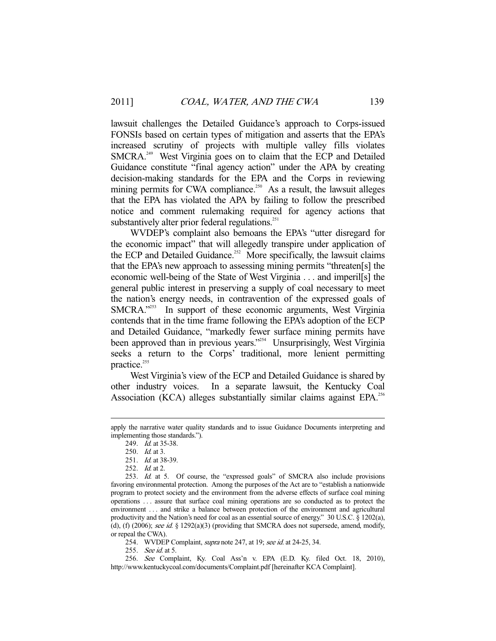lawsuit challenges the Detailed Guidance's approach to Corps-issued FONSIs based on certain types of mitigation and asserts that the EPA's increased scrutiny of projects with multiple valley fills violates SMCRA.<sup>249</sup> West Virginia goes on to claim that the ECP and Detailed Guidance constitute "final agency action" under the APA by creating decision-making standards for the EPA and the Corps in reviewing mining permits for CWA compliance.<sup>250</sup> As a result, the lawsuit alleges that the EPA has violated the APA by failing to follow the prescribed notice and comment rulemaking required for agency actions that substantively alter prior federal regulations.<sup>251</sup>

 WVDEP's complaint also bemoans the EPA's "utter disregard for the economic impact" that will allegedly transpire under application of the ECP and Detailed Guidance.<sup>252</sup> More specifically, the lawsuit claims that the EPA's new approach to assessing mining permits "threaten[s] the economic well-being of the State of West Virginia . . . and imperil[s] the general public interest in preserving a supply of coal necessary to meet the nation's energy needs, in contravention of the expressed goals of SMCRA."<sup>253</sup> In support of these economic arguments, West Virginia contends that in the time frame following the EPA's adoption of the ECP and Detailed Guidance, "markedly fewer surface mining permits have been approved than in previous years."<sup>254</sup> Unsurprisingly, West Virginia seeks a return to the Corps' traditional, more lenient permitting practice.<sup>255</sup>

 West Virginia's view of the ECP and Detailed Guidance is shared by other industry voices. In a separate lawsuit, the Kentucky Coal Association (KCA) alleges substantially similar claims against EPA.<sup>256</sup>

-

254. WVDEP Complaint, *supra* note 247, at 19; see id. at 24-25, 34.

apply the narrative water quality standards and to issue Guidance Documents interpreting and implementing those standards.").

<sup>249.</sup> *Id.* at 35-38.

 <sup>250.</sup> Id. at 3.

<sup>251.</sup> *Id.* at 38-39.

 <sup>252.</sup> Id. at 2.

 <sup>253.</sup> Id. at 5. Of course, the "expressed goals" of SMCRA also include provisions favoring environmental protection. Among the purposes of the Act are to "establish a nationwide program to protect society and the environment from the adverse effects of surface coal mining operations . . . assure that surface coal mining operations are so conducted as to protect the environment . . . and strike a balance between protection of the environment and agricultural productivity and the Nation's need for coal as an essential source of energy." 30 U.S.C. § 1202(a), (d), (f) (2006); see id. § 1292(a)(3) (providing that SMCRA does not supersede, amend, modify, or repeal the CWA).

<sup>255.</sup> *See id.* at 5.

 <sup>256.</sup> See Complaint, Ky. Coal Ass'n v. EPA (E.D. Ky. filed Oct. 18, 2010), http://www.kentuckycoal.com/documents/Complaint.pdf [hereinafter KCA Complaint].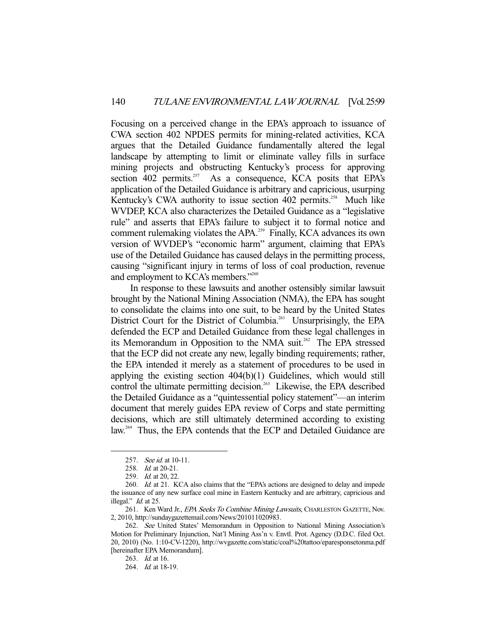Focusing on a perceived change in the EPA's approach to issuance of CWA section 402 NPDES permits for mining-related activities, KCA argues that the Detailed Guidance fundamentally altered the legal landscape by attempting to limit or eliminate valley fills in surface mining projects and obstructing Kentucky's process for approving section 402 permits.<sup>257</sup> As a consequence, KCA posits that EPA's application of the Detailed Guidance is arbitrary and capricious, usurping Kentucky's CWA authority to issue section 402 permits.<sup>258</sup> Much like WVDEP, KCA also characterizes the Detailed Guidance as a "legislative rule" and asserts that EPA's failure to subject it to formal notice and comment rulemaking violates the APA.<sup>259</sup> Finally, KCA advances its own version of WVDEP's "economic harm" argument, claiming that EPA's use of the Detailed Guidance has caused delays in the permitting process, causing "significant injury in terms of loss of coal production, revenue and employment to KCA's members."<sup>260</sup>

 In response to these lawsuits and another ostensibly similar lawsuit brought by the National Mining Association (NMA), the EPA has sought to consolidate the claims into one suit, to be heard by the United States District Court for the District of Columbia.<sup>261</sup> Unsurprisingly, the EPA defended the ECP and Detailed Guidance from these legal challenges in its Memorandum in Opposition to the NMA suit.<sup>262</sup> The EPA stressed that the ECP did not create any new, legally binding requirements; rather, the EPA intended it merely as a statement of procedures to be used in applying the existing section 404(b)(1) Guidelines, which would still control the ultimate permitting decision.<sup>263</sup> Likewise, the EPA described the Detailed Guidance as a "quintessential policy statement"—an interim document that merely guides EPA review of Corps and state permitting decisions, which are still ultimately determined according to existing law.<sup>264</sup> Thus, the EPA contends that the ECP and Detailed Guidance are

<sup>257.</sup> See id. at 10-11.

<sup>258.</sup> *Id.* at 20-21.

<sup>259.</sup> *Id.* at 20, 22.

<sup>260.</sup> Id. at 21. KCA also claims that the "EPA's actions are designed to delay and impede the issuance of any new surface coal mine in Eastern Kentucky and are arbitrary, capricious and illegal." *Id.* at 25.

<sup>261.</sup> Ken Ward Jr., EPA Seeks To Combine Mining Lawsuits, CHARLESTON GAZETTE, Nov. 2, 2010, http://sundaygazettemail.com/News/201011020983.

<sup>262.</sup> See United States' Memorandum in Opposition to National Mining Association's Motion for Preliminary Injunction, Nat'l Mining Ass'n v. Envtl. Prot. Agency (D.D.C. filed Oct. 20, 2010) (No. 1:10-CV-1220), http://wvgazette.com/static/coal%20tattoo/eparesponsetonma.pdf [hereinafter EPA Memorandum].

 <sup>263.</sup> Id. at 16.

<sup>264.</sup> *Id.* at 18-19.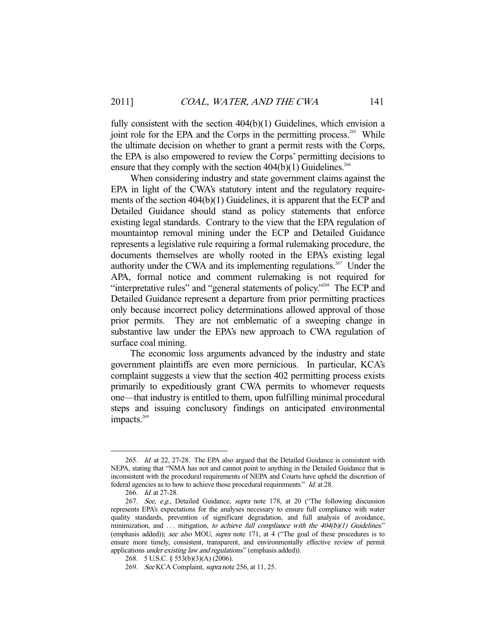fully consistent with the section 404(b)(1) Guidelines, which envision a joint role for the EPA and the Corps in the permitting process.<sup>265</sup> While the ultimate decision on whether to grant a permit rests with the Corps, the EPA is also empowered to review the Corps' permitting decisions to ensure that they comply with the section  $404(b)(1)$  Guidelines.<sup>266</sup>

 When considering industry and state government claims against the EPA in light of the CWA's statutory intent and the regulatory requirements of the section 404(b)(1) Guidelines, it is apparent that the ECP and Detailed Guidance should stand as policy statements that enforce existing legal standards. Contrary to the view that the EPA regulation of mountaintop removal mining under the ECP and Detailed Guidance represents a legislative rule requiring a formal rulemaking procedure, the documents themselves are wholly rooted in the EPA's existing legal authority under the CWA and its implementing regulations.<sup>267</sup> Under the APA, formal notice and comment rulemaking is not required for "interpretative rules" and "general statements of policy."268 The ECP and Detailed Guidance represent a departure from prior permitting practices only because incorrect policy determinations allowed approval of those prior permits. They are not emblematic of a sweeping change in substantive law under the EPA's new approach to CWA regulation of surface coal mining.

 The economic loss arguments advanced by the industry and state government plaintiffs are even more pernicious. In particular, KCA's complaint suggests a view that the section 402 permitting process exists primarily to expeditiously grant CWA permits to whomever requests one—that industry is entitled to them, upon fulfilling minimal procedural steps and issuing conclusory findings on anticipated environmental impacts.<sup>269</sup>

<sup>265.</sup> Id. at 22, 27-28. The EPA also argued that the Detailed Guidance is consistent with NEPA, stating that "NMA has not and cannot point to anything in the Detailed Guidance that is inconsistent with the procedural requirements of NEPA and Courts have upheld the discretion of federal agencies as to how to achieve those procedural requirements." Id. at 28.

 <sup>266.</sup> Id. at 27-28.

<sup>267.</sup> See, e.g., Detailed Guidance, supra note 178, at 20 ("The following discussion represents EPA's expectations for the analyses necessary to ensure full compliance with water quality standards, prevention of significant degradation, and full analysis of avoidance, minimization, and ... mitigation, to achieve full compliance with the  $404(b)(1)$  Guidelines." (emphasis added)); see also MOU, supra note 171, at 4 ("The goal of these procedures is to ensure more timely, consistent, transparent, and environmentally effective review of permit applications *under existing law and regulations*." (emphasis added)).

 <sup>268. 5</sup> U.S.C. § 553(b)(3)(A) (2006).

 <sup>269.</sup> See KCA Complaint, supra note 256, at 11, 25.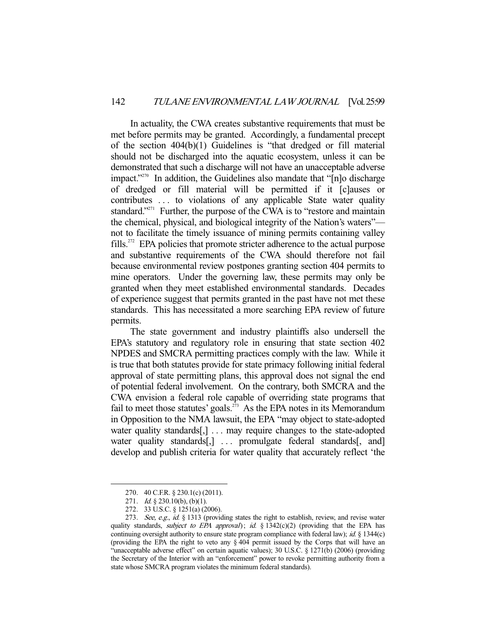In actuality, the CWA creates substantive requirements that must be met before permits may be granted. Accordingly, a fundamental precept of the section 404(b)(1) Guidelines is "that dredged or fill material should not be discharged into the aquatic ecosystem, unless it can be demonstrated that such a discharge will not have an unacceptable adverse impact."<sup>270</sup> In addition, the Guidelines also mandate that "[n]o discharge of dredged or fill material will be permitted if it [c]auses or contributes ... to violations of any applicable State water quality standard."<sup>271</sup> Further, the purpose of the CWA is to "restore and maintain the chemical, physical, and biological integrity of the Nation's waters" not to facilitate the timely issuance of mining permits containing valley fills.272 EPA policies that promote stricter adherence to the actual purpose and substantive requirements of the CWA should therefore not fail because environmental review postpones granting section 404 permits to mine operators. Under the governing law, these permits may only be granted when they meet established environmental standards. Decades of experience suggest that permits granted in the past have not met these standards. This has necessitated a more searching EPA review of future permits.

 The state government and industry plaintiffs also undersell the EPA's statutory and regulatory role in ensuring that state section 402 NPDES and SMCRA permitting practices comply with the law. While it is true that both statutes provide for state primacy following initial federal approval of state permitting plans, this approval does not signal the end of potential federal involvement. On the contrary, both SMCRA and the CWA envision a federal role capable of overriding state programs that fail to meet those statutes' goals.<sup>273</sup> As the EPA notes in its Memorandum in Opposition to the NMA lawsuit, the EPA "may object to state-adopted water quality standards[,] ... may require changes to the state-adopted water quality standards[,] ... promulgate federal standards[, and] develop and publish criteria for water quality that accurately reflect 'the

 <sup>270. 40</sup> C.F.R. § 230.1(c) (2011).

 <sup>271.</sup> Id. § 230.10(b), (b)(1).

 <sup>272. 33</sup> U.S.C. § 1251(a) (2006).

<sup>273.</sup> See, e.g., id. § 1313 (providing states the right to establish, review, and revise water quality standards, *subject to EPA approval*); id.  $\S 1342(c)(2)$  (providing that the EPA has continuing oversight authority to ensure state program compliance with federal law); *id.*  $\S$  1344(c) (providing the EPA the right to veto any § 404 permit issued by the Corps that will have an "unacceptable adverse effect" on certain aquatic values); 30 U.S.C. § 1271(b) (2006) (providing the Secretary of the Interior with an "enforcement" power to revoke permitting authority from a state whose SMCRA program violates the minimum federal standards).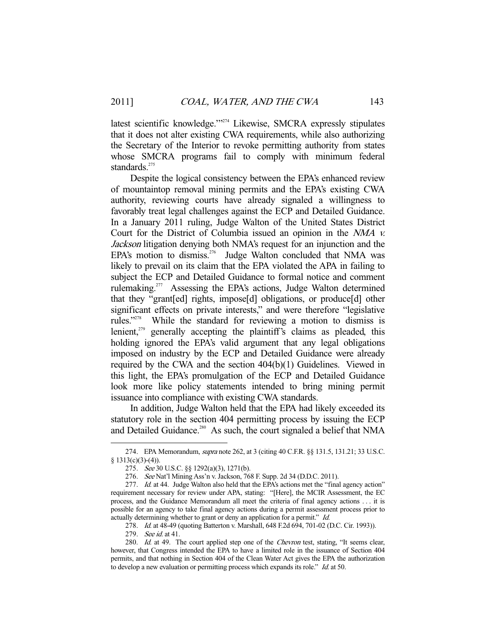latest scientific knowledge.'"274 Likewise, SMCRA expressly stipulates that it does not alter existing CWA requirements, while also authorizing the Secretary of the Interior to revoke permitting authority from states whose SMCRA programs fail to comply with minimum federal standards.<sup>275</sup>

 Despite the logical consistency between the EPA's enhanced review of mountaintop removal mining permits and the EPA's existing CWA authority, reviewing courts have already signaled a willingness to favorably treat legal challenges against the ECP and Detailed Guidance. In a January 2011 ruling, Judge Walton of the United States District Court for the District of Columbia issued an opinion in the NMA v. Jackson litigation denying both NMA's request for an injunction and the EPA's motion to dismiss.<sup>276</sup> Judge Walton concluded that NMA was likely to prevail on its claim that the EPA violated the APA in failing to subject the ECP and Detailed Guidance to formal notice and comment rulemaking.277 Assessing the EPA's actions, Judge Walton determined that they "grant[ed] rights, impose[d] obligations, or produce[d] other significant effects on private interests," and were therefore "legislative rules."278 While the standard for reviewing a motion to dismiss is lenient, $279$  generally accepting the plaintiff's claims as pleaded, this holding ignored the EPA's valid argument that any legal obligations imposed on industry by the ECP and Detailed Guidance were already required by the CWA and the section 404(b)(1) Guidelines. Viewed in this light, the EPA's promulgation of the ECP and Detailed Guidance look more like policy statements intended to bring mining permit issuance into compliance with existing CWA standards.

 In addition, Judge Walton held that the EPA had likely exceeded its statutory role in the section 404 permitting process by issuing the ECP and Detailed Guidance.<sup>280</sup> As such, the court signaled a belief that NMA

 <sup>274.</sup> EPA Memorandum, supra note 262, at 3 (citing 40 C.F.R. §§ 131.5, 131.21; 33 U.S.C. § 1313(c)(3)-(4)).

<sup>275.</sup> See 30 U.S.C. §§ 1292(a)(3), 1271(b).

 <sup>276.</sup> See Nat'l Mining Ass'n v. Jackson, 768 F. Supp. 2d 34 (D.D.C. 2011).

<sup>277.</sup> Id. at 44. Judge Walton also held that the EPA's actions met the "final agency action" requirement necessary for review under APA, stating: "[Here], the MCIR Assessment, the EC process, and the Guidance Memorandum all meet the criteria of final agency actions . . . it is possible for an agency to take final agency actions during a permit assessment process prior to actually determining whether to grant or deny an application for a permit." Id.

 <sup>278.</sup> Id. at 48-49 (quoting Batterton v. Marshall, 648 F.2d 694, 701-02 (D.C. Cir. 1993)).

<sup>279.</sup> See id. at 41.

<sup>280.</sup> Id. at 49. The court applied step one of the Chevron test, stating, "It seems clear, however, that Congress intended the EPA to have a limited role in the issuance of Section 404 permits, and that nothing in Section 404 of the Clean Water Act gives the EPA the authorization to develop a new evaluation or permitting process which expands its role." Id. at 50.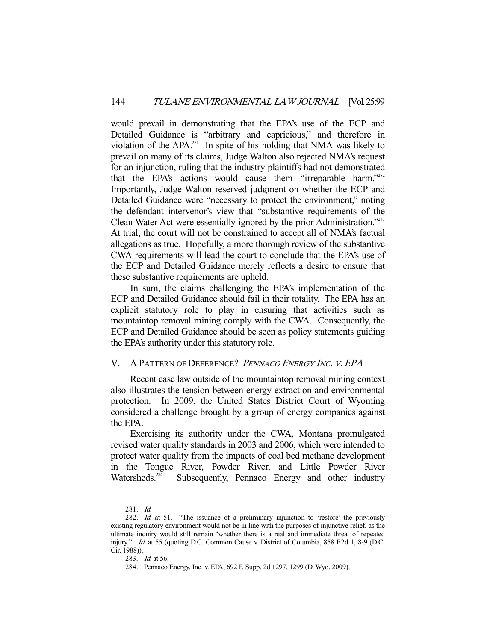would prevail in demonstrating that the EPA's use of the ECP and Detailed Guidance is "arbitrary and capricious," and therefore in violation of the APA.<sup>281</sup> In spite of his holding that NMA was likely to prevail on many of its claims, Judge Walton also rejected NMA's request for an injunction, ruling that the industry plaintiffs had not demonstrated that the EPA's actions would cause them "irreparable harm."<sup>282</sup> Importantly, Judge Walton reserved judgment on whether the ECP and Detailed Guidance were "necessary to protect the environment," noting the defendant intervenor's view that "substantive requirements of the Clean Water Act were essentially ignored by the prior Administration."<sup>283</sup> At trial, the court will not be constrained to accept all of NMA's factual allegations as true. Hopefully, a more thorough review of the substantive CWA requirements will lead the court to conclude that the EPA's use of the ECP and Detailed Guidance merely reflects a desire to ensure that these substantive requirements are upheld.

 In sum, the claims challenging the EPA's implementation of the ECP and Detailed Guidance should fail in their totality. The EPA has an explicit statutory role to play in ensuring that activities such as mountaintop removal mining comply with the CWA. Consequently, the ECP and Detailed Guidance should be seen as policy statements guiding the EPA's authority under this statutory role.

#### V. A PATTERN OF DEFERENCE? PENNACO ENERGY INC. V. EPA

 Recent case law outside of the mountaintop removal mining context also illustrates the tension between energy extraction and environmental protection. In 2009, the United States District Court of Wyoming considered a challenge brought by a group of energy companies against the EPA.

 Exercising its authority under the CWA, Montana promulgated revised water quality standards in 2003 and 2006, which were intended to protect water quality from the impacts of coal bed methane development in the Tongue River, Powder River, and Little Powder River Watersheds.<sup>284</sup> Subsequently, Pennaco Energy and other industry

 <sup>281.</sup> Id.

 <sup>282.</sup> Id. at 51. "The issuance of a preliminary injunction to 'restore' the previously existing regulatory environment would not be in line with the purposes of injunctive relief, as the ultimate inquiry would still remain 'whether there is a real and immediate threat of repeated injury."" Id. at 55 (quoting D.C. Common Cause v. District of Columbia, 858 F.2d 1, 8-9 (D.C. Cir. 1988)).

 <sup>283.</sup> Id. at 56.

 <sup>284.</sup> Pennaco Energy, Inc. v. EPA, 692 F. Supp. 2d 1297, 1299 (D. Wyo. 2009).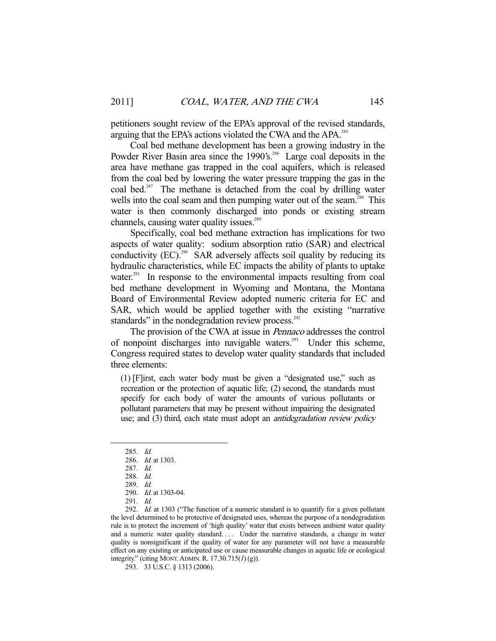petitioners sought review of the EPA's approval of the revised standards, arguing that the EPA's actions violated the CWA and the APA.<sup>285</sup>

 Coal bed methane development has been a growing industry in the Powder River Basin area since the 1990's.<sup>286</sup> Large coal deposits in the area have methane gas trapped in the coal aquifers, which is released from the coal bed by lowering the water pressure trapping the gas in the coal bed.<sup>287</sup> The methane is detached from the coal by drilling water wells into the coal seam and then pumping water out of the seam.<sup>288</sup> This water is then commonly discharged into ponds or existing stream channels, causing water quality issues.<sup>289</sup>

 Specifically, coal bed methane extraction has implications for two aspects of water quality: sodium absorption ratio (SAR) and electrical conductivity  $(EC)$ <sup>290</sup> SAR adversely affects soil quality by reducing its hydraulic characteristics, while EC impacts the ability of plants to uptake water.<sup>291</sup> In response to the environmental impacts resulting from coal bed methane development in Wyoming and Montana, the Montana Board of Environmental Review adopted numeric criteria for EC and SAR, which would be applied together with the existing "narrative standards" in the nondegradation review process.<sup>292</sup>

The provision of the CWA at issue in *Pennaco* addresses the control of nonpoint discharges into navigable waters.<sup>293</sup> Under this scheme, Congress required states to develop water quality standards that included three elements:

(1) [F]irst, each water body must be given a "designated use," such as recreation or the protection of aquatic life; (2) second, the standards must specify for each body of water the amounts of various pollutants or pollutant parameters that may be present without impairing the designated use; and (3) third, each state must adopt an *antidegradation review policy* 

 <sup>285.</sup> Id.

<sup>286.</sup> *Id.* at 1303.

 <sup>287.</sup> Id.

 <sup>288.</sup> Id.

 <sup>289.</sup> Id.

 <sup>290.</sup> Id. at 1303-04.

 <sup>291.</sup> Id.

<sup>292.</sup> Id. at 1303 ("The function of a numeric standard is to quantify for a given pollutant the level determined to be protective of designated uses, whereas the purpose of a nondegradation rule is to protect the increment of 'high quality' water that exists between ambient water quality and a numeric water quality standard.... Under the narrative standards, a change in water quality is nonsignificant if the quality of water for any parameter will not have a measurable effect on any existing or anticipated use or cause measurable changes in aquatic life or ecological integrity." (citing MONT. ADMIN. R.  $17.30.715(I)(g)$ ).

 <sup>293. 33</sup> U.S.C. § 1313 (2006).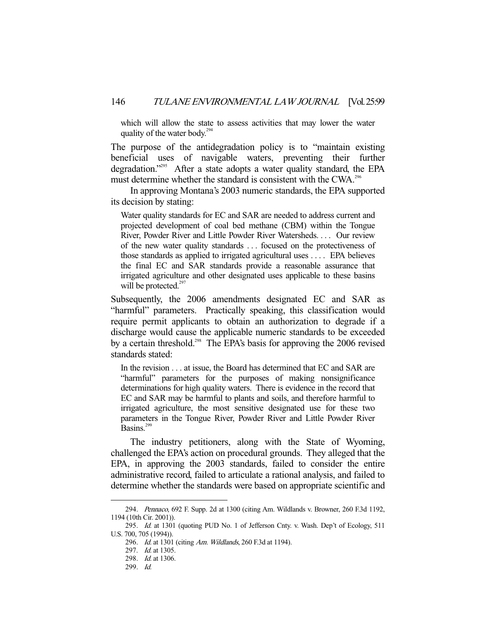which will allow the state to assess activities that may lower the water quality of the water body. $294$ 

The purpose of the antidegradation policy is to "maintain existing beneficial uses of navigable waters, preventing their further degradation."295 After a state adopts a water quality standard, the EPA must determine whether the standard is consistent with the CWA.<sup>296</sup>

 In approving Montana's 2003 numeric standards, the EPA supported its decision by stating:

Water quality standards for EC and SAR are needed to address current and projected development of coal bed methane (CBM) within the Tongue River, Powder River and Little Powder River Watersheds. . . . Our review of the new water quality standards . . . focused on the protectiveness of those standards as applied to irrigated agricultural uses . . . . EPA believes the final EC and SAR standards provide a reasonable assurance that irrigated agriculture and other designated uses applicable to these basins will be protected. $297$ 

Subsequently, the 2006 amendments designated EC and SAR as "harmful" parameters. Practically speaking, this classification would require permit applicants to obtain an authorization to degrade if a discharge would cause the applicable numeric standards to be exceeded by a certain threshold.<sup>298</sup> The EPA's basis for approving the 2006 revised standards stated:

In the revision . . . at issue, the Board has determined that EC and SAR are "harmful" parameters for the purposes of making nonsignificance determinations for high quality waters. There is evidence in the record that EC and SAR may be harmful to plants and soils, and therefore harmful to irrigated agriculture, the most sensitive designated use for these two parameters in the Tongue River, Powder River and Little Powder River Basins.<sup>299</sup>

 The industry petitioners, along with the State of Wyoming, challenged the EPA's action on procedural grounds. They alleged that the EPA, in approving the 2003 standards, failed to consider the entire administrative record, failed to articulate a rational analysis, and failed to determine whether the standards were based on appropriate scientific and

 <sup>294.</sup> Pennaco, 692 F. Supp. 2d at 1300 (citing Am. Wildlands v. Browner, 260 F.3d 1192, 1194 (10th Cir. 2001)).

<sup>295.</sup> Id. at 1301 (quoting PUD No. 1 of Jefferson Cnty. v. Wash. Dep't of Ecology, 511 U.S. 700, 705 (1994)).

 <sup>296.</sup> Id. at 1301 (citing Am. Wildlands, 260 F.3d at 1194).

<sup>297.</sup> *Id.* at 1305.

 <sup>298.</sup> Id. at 1306.

 <sup>299.</sup> Id.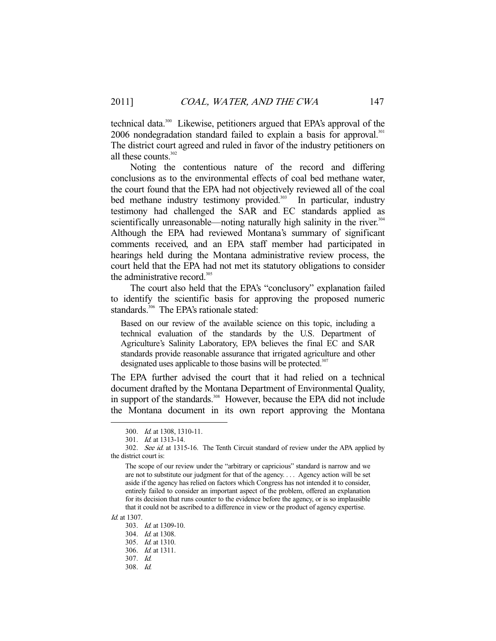technical data.<sup>300</sup> Likewise, petitioners argued that EPA's approval of the 2006 nondegradation standard failed to explain a basis for approval.<sup>301</sup> The district court agreed and ruled in favor of the industry petitioners on all these counts.<sup>302</sup>

 Noting the contentious nature of the record and differing conclusions as to the environmental effects of coal bed methane water, the court found that the EPA had not objectively reviewed all of the coal bed methane industry testimony provided.<sup>303</sup> In particular, industry testimony had challenged the SAR and EC standards applied as scientifically unreasonable—noting naturally high salinity in the river.<sup>304</sup> Although the EPA had reviewed Montana's summary of significant comments received, and an EPA staff member had participated in hearings held during the Montana administrative review process, the court held that the EPA had not met its statutory obligations to consider the administrative record.<sup>305</sup>

 The court also held that the EPA's "conclusory" explanation failed to identify the scientific basis for approving the proposed numeric standards.<sup>306</sup> The EPA's rationale stated:

Based on our review of the available science on this topic, including a technical evaluation of the standards by the U.S. Department of Agriculture's Salinity Laboratory, EPA believes the final EC and SAR standards provide reasonable assurance that irrigated agriculture and other designated uses applicable to those basins will be protected. $307$ 

The EPA further advised the court that it had relied on a technical document drafted by the Montana Department of Environmental Quality, in support of the standards.<sup>308</sup> However, because the EPA did not include the Montana document in its own report approving the Montana

Id. at 1307.

 <sup>300.</sup> Id. at 1308, 1310-11.

 <sup>301.</sup> Id. at 1313-14.

<sup>302.</sup> See id. at 1315-16. The Tenth Circuit standard of review under the APA applied by the district court is:

The scope of our review under the "arbitrary or capricious" standard is narrow and we are not to substitute our judgment for that of the agency. . . . Agency action will be set aside if the agency has relied on factors which Congress has not intended it to consider, entirely failed to consider an important aspect of the problem, offered an explanation for its decision that runs counter to the evidence before the agency, or is so implausible that it could not be ascribed to a difference in view or the product of agency expertise.

 <sup>303.</sup> Id. at 1309-10.

<sup>304.</sup> *Id.* at 1308.

 <sup>305.</sup> Id. at 1310.

 <sup>306.</sup> Id. at 1311.

 <sup>307.</sup> Id.

 <sup>308.</sup> Id.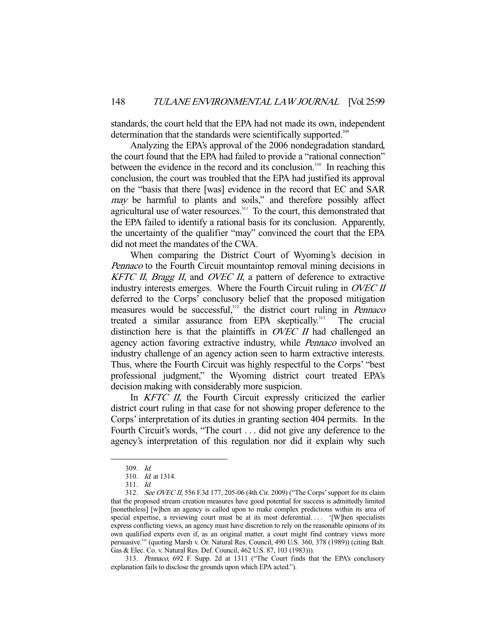standards, the court held that the EPA had not made its own, independent determination that the standards were scientifically supported.<sup>309</sup>

 Analyzing the EPA's approval of the 2006 nondegradation standard, the court found that the EPA had failed to provide a "rational connection" between the evidence in the record and its conclusion.<sup>310</sup> In reaching this conclusion, the court was troubled that the EPA had justified its approval on the "basis that there [was] evidence in the record that EC and SAR may be harmful to plants and soils," and therefore possibly affect agricultural use of water resources.<sup>311</sup> To the court, this demonstrated that the EPA failed to identify a rational basis for its conclusion. Apparently, the uncertainty of the qualifier "may" convinced the court that the EPA did not meet the mandates of the CWA.

 When comparing the District Court of Wyoming's decision in Pennaco to the Fourth Circuit mountaintop removal mining decisions in KFTC II, Bragg II, and OVEC II, a pattern of deference to extractive industry interests emerges. Where the Fourth Circuit ruling in OVEC II deferred to the Corps' conclusory belief that the proposed mitigation measures would be successful,<sup>312</sup> the district court ruling in *Pennaco* treated a similar assurance from EPA skeptically.<sup>313</sup> The crucial distinction here is that the plaintiffs in  $OVEC$  II had challenged an agency action favoring extractive industry, while Pennaco involved an industry challenge of an agency action seen to harm extractive interests. Thus, where the Fourth Circuit was highly respectful to the Corps' "best professional judgment," the Wyoming district court treated EPA's decision making with considerably more suspicion.

In *KFTC II*, the Fourth Circuit expressly criticized the earlier district court ruling in that case for not showing proper deference to the Corps' interpretation of its duties in granting section 404 permits. In the Fourth Circuit's words, "The court . . . did not give any deference to the agency's interpretation of this regulation nor did it explain why such

 <sup>309.</sup> Id.

 <sup>310.</sup> Id. at 1314.

 <sup>311.</sup> Id.

 <sup>312.</sup> See OVEC II, 556 F.3d 177, 205-06 (4th Cir. 2009) ("The Corps' support for its claim that the proposed stream creation measures have good potential for success is admittedly limited [nonetheless] [w]hen an agency is called upon to make complex predictions within its area of special expertise, a reviewing court must be at its most deferential.... '[W]hen specialists express conflicting views, an agency must have discretion to rely on the reasonable opinions of its own qualified experts even if, as an original matter, a court might find contrary views more persuasive.'" (quoting Marsh v. Or. Natural Res. Council, 490 U.S. 360, 378 (1989)) (citing Balt. Gas & Elec. Co. v. Natural Res. Def. Council, 462 U.S. 87, 103 (1983))).

 <sup>313.</sup> Pennaco, 692 F. Supp. 2d at 1311 ("The Court finds that the EPA's conclusory explanation fails to disclose the grounds upon which EPA acted.").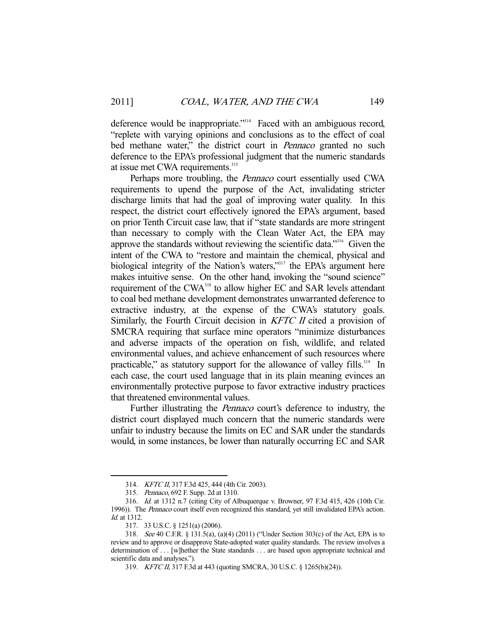deference would be inappropriate."<sup>314</sup> Faced with an ambiguous record, "replete with varying opinions and conclusions as to the effect of coal bed methane water," the district court in *Pennaco* granted no such deference to the EPA's professional judgment that the numeric standards at issue met CWA requirements.<sup>315</sup>

 Perhaps more troubling, the Pennaco court essentially used CWA requirements to upend the purpose of the Act, invalidating stricter discharge limits that had the goal of improving water quality. In this respect, the district court effectively ignored the EPA's argument, based on prior Tenth Circuit case law, that if "state standards are more stringent than necessary to comply with the Clean Water Act, the EPA may approve the standards without reviewing the scientific data."316 Given the intent of the CWA to "restore and maintain the chemical, physical and biological integrity of the Nation's waters,"<sup>317</sup> the EPA's argument here makes intuitive sense. On the other hand, invoking the "sound science" requirement of the CWA<sup>318</sup> to allow higher EC and SAR levels attendant to coal bed methane development demonstrates unwarranted deference to extractive industry, at the expense of the CWA's statutory goals. Similarly, the Fourth Circuit decision in *KFTC II* cited a provision of SMCRA requiring that surface mine operators "minimize disturbances and adverse impacts of the operation on fish, wildlife, and related environmental values, and achieve enhancement of such resources where practicable," as statutory support for the allowance of valley fills. $319$  In each case, the court used language that in its plain meaning evinces an environmentally protective purpose to favor extractive industry practices that threatened environmental values.

 Further illustrating the Pennaco court's deference to industry, the district court displayed much concern that the numeric standards were unfair to industry because the limits on EC and SAR under the standards would, in some instances, be lower than naturally occurring EC and SAR

 <sup>314.</sup> KFTC II, 317 F.3d 425, 444 (4th Cir. 2003).

 <sup>315.</sup> Pennaco, 692 F. Supp. 2d at 1310.

 <sup>316.</sup> Id. at 1312 n.7 (citing City of Albuquerque v. Browner, 97 F.3d 415, 426 (10th Cir. 1996)). The Pennaco court itself even recognized this standard, yet still invalidated EPA's action. Id. at 1312.

 <sup>317. 33</sup> U.S.C. § 1251(a) (2006).

 <sup>318.</sup> See 40 C.F.R. § 131.5(a), (a)(4) (2011) ("Under Section 303(c) of the Act, EPA is to review and to approve or disapprove State-adopted water quality standards. The review involves a determination of . . . [w]hether the State standards . . . are based upon appropriate technical and scientific data and analyses.").

 <sup>319.</sup> KFTC II, 317 F.3d at 443 (quoting SMCRA, 30 U.S.C. § 1265(b)(24)).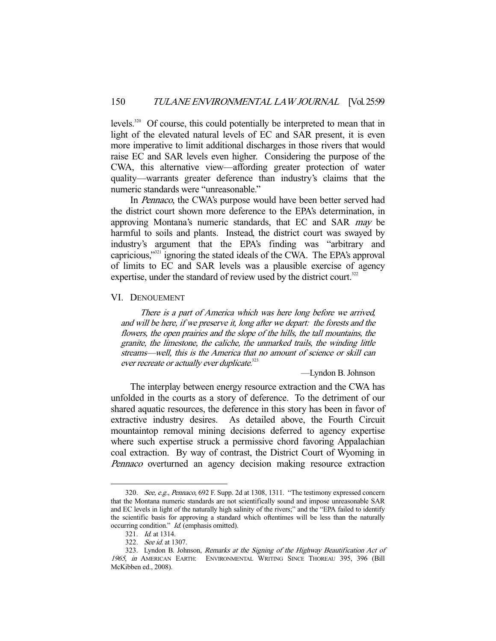levels.320 Of course, this could potentially be interpreted to mean that in light of the elevated natural levels of EC and SAR present, it is even more imperative to limit additional discharges in those rivers that would raise EC and SAR levels even higher. Considering the purpose of the CWA, this alternative view—affording greater protection of water quality—warrants greater deference than industry's claims that the numeric standards were "unreasonable."

In *Pennaco*, the CWA's purpose would have been better served had the district court shown more deference to the EPA's determination, in approving Montana's numeric standards, that EC and SAR may be harmful to soils and plants. Instead, the district court was swayed by industry's argument that the EPA's finding was "arbitrary and capricious,"321 ignoring the stated ideals of the CWA. The EPA's approval of limits to EC and SAR levels was a plausible exercise of agency expertise, under the standard of review used by the district court.<sup>322</sup>

#### VI. DENOUEMENT

There is a part of America which was here long before we arrived, and will be here, if we preserve it, long after we depart: the forests and the flowers, the open prairies and the slope of the hills, the tall mountains, the granite, the limestone, the caliche, the unmarked trails, the winding little streams—well, this is the America that no amount of science or skill can ever recreate or actually ever duplicate.<sup>323</sup>

—Lyndon B. Johnson

 The interplay between energy resource extraction and the CWA has unfolded in the courts as a story of deference. To the detriment of our shared aquatic resources, the deference in this story has been in favor of extractive industry desires. As detailed above, the Fourth Circuit mountaintop removal mining decisions deferred to agency expertise where such expertise struck a permissive chord favoring Appalachian coal extraction. By way of contrast, the District Court of Wyoming in Pennaco overturned an agency decision making resource extraction

<sup>320.</sup> See, e.g., Pennaco, 692 F. Supp. 2d at 1308, 1311. "The testimony expressed concern that the Montana numeric standards are not scientifically sound and impose unreasonable SAR and EC levels in light of the naturally high salinity of the rivers;" and the "EPA failed to identify the scientific basis for approving a standard which oftentimes will be less than the naturally occurring condition." Id. (emphasis omitted).

<sup>321.</sup> *Id.* at 1314.

 <sup>322.</sup> See id. at 1307.

 <sup>323.</sup> Lyndon B. Johnson, Remarks at the Signing of the Highway Beautification Act of <sup>1965</sup>, in AMERICAN EARTH: ENVIRONMENTAL WRITING SINCE THOREAU 395, 396 (Bill McKibben ed., 2008).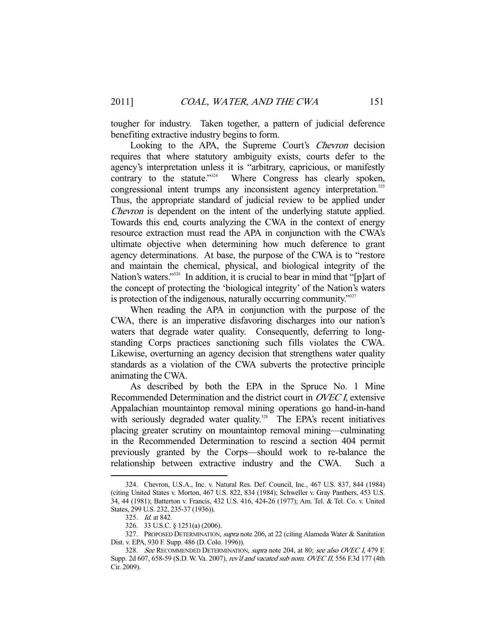tougher for industry. Taken together, a pattern of judicial deference benefiting extractive industry begins to form.

Looking to the APA, the Supreme Court's Chevron decision requires that where statutory ambiguity exists, courts defer to the agency's interpretation unless it is "arbitrary, capricious, or manifestly contrary to the statute."<sup>324</sup> Where Congress has clearly spoken, congressional intent trumps any inconsistent agency interpretation.<sup>325</sup> Thus, the appropriate standard of judicial review to be applied under Chevron is dependent on the intent of the underlying statute applied. Towards this end, courts analyzing the CWA in the context of energy resource extraction must read the APA in conjunction with the CWA's ultimate objective when determining how much deference to grant agency determinations. At base, the purpose of the CWA is to "restore and maintain the chemical, physical, and biological integrity of the Nation's waters."<sup>326</sup> In addition, it is crucial to bear in mind that "[p]art of the concept of protecting the 'biological integrity' of the Nation's waters is protection of the indigenous, naturally occurring community.<sup>3327</sup>

 When reading the APA in conjunction with the purpose of the CWA, there is an imperative disfavoring discharges into our nation's waters that degrade water quality. Consequently, deferring to longstanding Corps practices sanctioning such fills violates the CWA. Likewise, overturning an agency decision that strengthens water quality standards as a violation of the CWA subverts the protective principle animating the CWA.

 As described by both the EPA in the Spruce No. 1 Mine Recommended Determination and the district court in *OVEC I*, extensive Appalachian mountaintop removal mining operations go hand-in-hand with seriously degraded water quality.<sup>328</sup> The EPA's recent initiatives placing greater scrutiny on mountaintop removal mining—culminating in the Recommended Determination to rescind a section 404 permit previously granted by the Corps—should work to re-balance the relationship between extractive industry and the CWA. Such a

 <sup>324.</sup> Chevron, U.S.A., Inc. v. Natural Res. Def. Council, Inc., 467 U.S. 837, 844 (1984) (citing United States v. Morton, 467 U.S. 822, 834 (1984); Schweller v. Gray Panthers, 453 U.S. 34, 44 (1981); Batterton v. Francis, 432 U.S. 416, 424-26 (1977); Am. Tel. & Tel. Co. v. United States, 299 U.S. 232, 235-37 (1936)).

 <sup>325.</sup> Id. at 842.

 <sup>326. 33</sup> U.S.C. § 1251(a) (2006).

<sup>327.</sup> PROPOSED DETERMINATION, *supra* note 206, at 22 (citing Alameda Water & Sanitation Dist. v. EPA, 930 F. Supp. 486 (D. Colo. 1996)).

<sup>328.</sup> See RECOMMENDED DETERMINATION, supra note 204, at 80; see also OVEC I, 479 F. Supp. 2d 607, 658-59 (S.D. W. Va. 2007), rev'd and vacated sub nom. OVEC II, 556 F.3d 177 (4th Cir. 2009).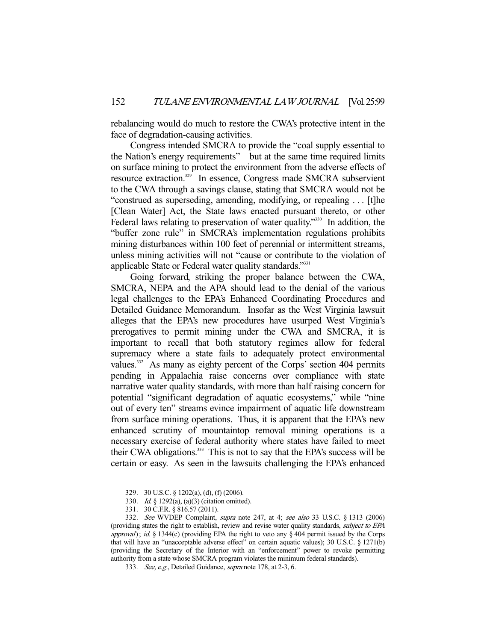rebalancing would do much to restore the CWA's protective intent in the face of degradation-causing activities.

 Congress intended SMCRA to provide the "coal supply essential to the Nation's energy requirements"—but at the same time required limits on surface mining to protect the environment from the adverse effects of resource extraction.<sup>329</sup> In essence, Congress made SMCRA subservient to the CWA through a savings clause, stating that SMCRA would not be "construed as superseding, amending, modifying, or repealing . . . [t]he [Clean Water] Act, the State laws enacted pursuant thereto, or other Federal laws relating to preservation of water quality."<sup>330</sup> In addition, the "buffer zone rule" in SMCRA's implementation regulations prohibits mining disturbances within 100 feet of perennial or intermittent streams, unless mining activities will not "cause or contribute to the violation of applicable State or Federal water quality standards."<sup>331</sup>

 Going forward, striking the proper balance between the CWA, SMCRA, NEPA and the APA should lead to the denial of the various legal challenges to the EPA's Enhanced Coordinating Procedures and Detailed Guidance Memorandum. Insofar as the West Virginia lawsuit alleges that the EPA's new procedures have usurped West Virginia's prerogatives to permit mining under the CWA and SMCRA, it is important to recall that both statutory regimes allow for federal supremacy where a state fails to adequately protect environmental values.<sup>332</sup> As many as eighty percent of the Corps' section 404 permits pending in Appalachia raise concerns over compliance with state narrative water quality standards, with more than half raising concern for potential "significant degradation of aquatic ecosystems," while "nine out of every ten" streams evince impairment of aquatic life downstream from surface mining operations. Thus, it is apparent that the EPA's new enhanced scrutiny of mountaintop removal mining operations is a necessary exercise of federal authority where states have failed to meet their CWA obligations.<sup>333</sup> This is not to say that the EPA's success will be certain or easy. As seen in the lawsuits challenging the EPA's enhanced

 <sup>329. 30</sup> U.S.C. § 1202(a), (d), (f) (2006).

 <sup>330.</sup> Id. § 1292(a), (a)(3) (citation omitted).

 <sup>331. 30</sup> C.F.R. § 816.57 (2011).

<sup>332.</sup> See WVDEP Complaint, supra note 247, at 4; see also 33 U.S.C. § 1313 (2006) (providing states the right to establish, review and revise water quality standards, subject to EPA approval); id. § 1344(c) (providing EPA the right to veto any § 404 permit issued by the Corps that will have an "unacceptable adverse effect" on certain aquatic values); 30 U.S.C. § 1271(b) (providing the Secretary of the Interior with an "enforcement" power to revoke permitting authority from a state whose SMCRA program violates the minimum federal standards).

 <sup>333.</sup> See, e.g., Detailed Guidance, supra note 178, at 2-3, 6.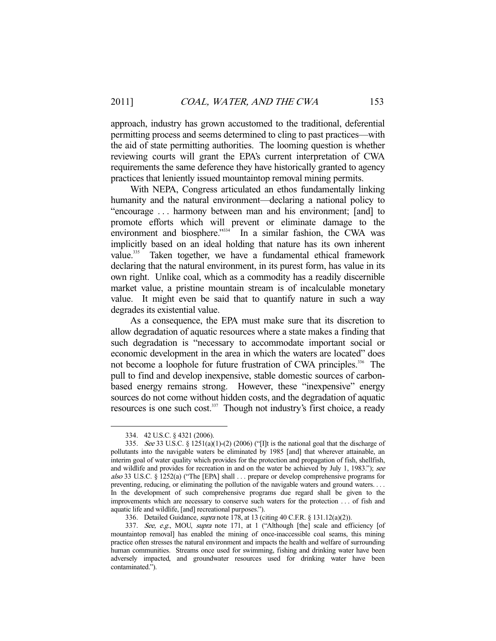approach, industry has grown accustomed to the traditional, deferential permitting process and seems determined to cling to past practices—with the aid of state permitting authorities. The looming question is whether reviewing courts will grant the EPA's current interpretation of CWA requirements the same deference they have historically granted to agency practices that leniently issued mountaintop removal mining permits.

 With NEPA, Congress articulated an ethos fundamentally linking humanity and the natural environment—declaring a national policy to "encourage . . . harmony between man and his environment; [and] to promote efforts which will prevent or eliminate damage to the environment and biosphere."<sup>334</sup> In a similar fashion, the CWA was implicitly based on an ideal holding that nature has its own inherent value.<sup>335</sup> Taken together, we have a fundamental ethical framework declaring that the natural environment, in its purest form, has value in its own right. Unlike coal, which as a commodity has a readily discernible market value, a pristine mountain stream is of incalculable monetary value. It might even be said that to quantify nature in such a way degrades its existential value.

 As a consequence, the EPA must make sure that its discretion to allow degradation of aquatic resources where a state makes a finding that such degradation is "necessary to accommodate important social or economic development in the area in which the waters are located" does not become a loophole for future frustration of CWA principles.<sup>336</sup> The pull to find and develop inexpensive, stable domestic sources of carbonbased energy remains strong. However, these "inexpensive" energy sources do not come without hidden costs, and the degradation of aquatic resources is one such cost.<sup>337</sup> Though not industry's first choice, a ready

 <sup>334. 42</sup> U.S.C. § 4321 (2006).

<sup>335.</sup> See 33 U.S.C. § 1251(a)(1)-(2) (2006) ("[I]t is the national goal that the discharge of pollutants into the navigable waters be eliminated by 1985 [and] that wherever attainable, an interim goal of water quality which provides for the protection and propagation of fish, shellfish, and wildlife and provides for recreation in and on the water be achieved by July 1, 1983."); see also 33 U.S.C. § 1252(a) ("The [EPA] shall . . . prepare or develop comprehensive programs for preventing, reducing, or eliminating the pollution of the navigable waters and ground waters. . . . In the development of such comprehensive programs due regard shall be given to the improvements which are necessary to conserve such waters for the protection . . . of fish and aquatic life and wildlife, [and] recreational purposes.").

 <sup>336.</sup> Detailed Guidance, supra note 178, at 13 (citing 40 C.F.R. § 131.12(a)(2)).

 <sup>337.</sup> See, e.g., MOU, supra note 171, at 1 ("Although [the] scale and efficiency [of mountaintop removal] has enabled the mining of once-inaccessible coal seams, this mining practice often stresses the natural environment and impacts the health and welfare of surrounding human communities. Streams once used for swimming, fishing and drinking water have been adversely impacted, and groundwater resources used for drinking water have been contaminated.").